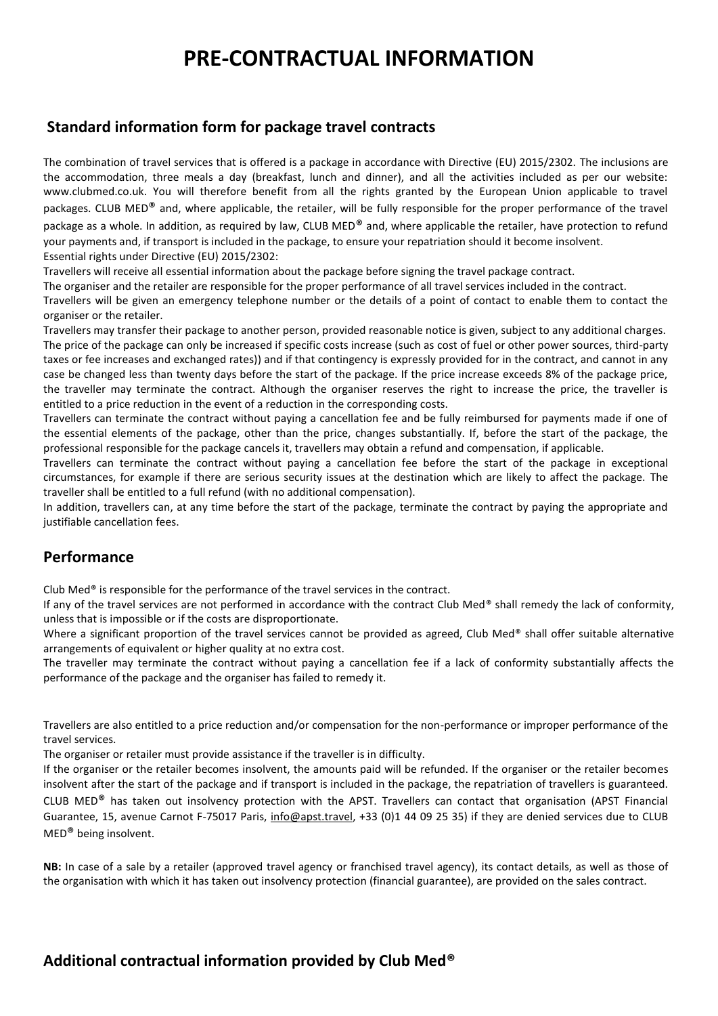# **PRE-CONTRACTUAL INFORMATION**

## **Standard information form for package travel contracts**

The combination of travel services that is offered is a package in accordance with Directive (EU) 2015/2302. The inclusions are the accommodation, three meals a day (breakfast, lunch and dinner), and all the activities included as per our website: www.clubmed.co.uk. You will therefore benefit from all the rights granted by the European Union applicable to travel packages. CLUB MED® and, where applicable, the retailer, will be fully responsible for the proper performance of the travel package as a whole. In addition, as required by law, CLUB MED® and, where applicable the retailer, have protection to refund your payments and, if transport is included in the package, to ensure your repatriation should it become insolvent. Essential rights under Directive (EU) 2015/2302:

Travellers will receive all essential information about the package before signing the travel package contract.

The organiser and the retailer are responsible for the proper performance of all travel services included in the contract.

Travellers will be given an emergency telephone number or the details of a point of contact to enable them to contact the organiser or the retailer.

Travellers may transfer their package to another person, provided reasonable notice is given, subject to any additional charges. The price of the package can only be increased if specific costs increase (such as cost of fuel or other power sources, third-party taxes or fee increases and exchanged rates)) and if that contingency is expressly provided for in the contract, and cannot in any case be changed less than twenty days before the start of the package. If the price increase exceeds 8% of the package price, the traveller may terminate the contract. Although the organiser reserves the right to increase the price, the traveller is entitled to a price reduction in the event of a reduction in the corresponding costs.

Travellers can terminate the contract without paying a cancellation fee and be fully reimbursed for payments made if one of the essential elements of the package, other than the price, changes substantially. If, before the start of the package, the professional responsible for the package cancels it, travellers may obtain a refund and compensation, if applicable.

Travellers can terminate the contract without paying a cancellation fee before the start of the package in exceptional circumstances, for example if there are serious security issues at the destination which are likely to affect the package. The traveller shall be entitled to a full refund (with no additional compensation).

In addition, travellers can, at any time before the start of the package, terminate the contract by paying the appropriate and justifiable cancellation fees.

## **Performance**

Club Med® is responsible for the performance of the travel services in the contract.

If any of the travel services are not performed in accordance with the contract Club Med® shall remedy the lack of conformity, unless that is impossible or if the costs are disproportionate.

Where a significant proportion of the travel services cannot be provided as agreed, Club Med® shall offer suitable alternative arrangements of equivalent or higher quality at no extra cost.

The traveller may terminate the contract without paying a cancellation fee if a lack of conformity substantially affects the performance of the package and the organiser has failed to remedy it.

Travellers are also entitled to a price reduction and/or compensation for the non-performance or improper performance of the travel services.

The organiser or retailer must provide assistance if the traveller is in difficulty.

If the organiser or the retailer becomes insolvent, the amounts paid will be refunded. If the organiser or the retailer becomes insolvent after the start of the package and if transport is included in the package, the repatriation of travellers is guaranteed. CLUB MED® has taken out insolvency protection with the APST. Travellers can contact that organisation (APST Financial Guarantee, 15, avenue Carnot F-75017 Paris, info@apst.travel, +33 (0)1 44 09 25 35) if they are denied services due to CLUB MED® being insolvent.

**NB:** In case of a sale by a retailer (approved travel agency or franchised travel agency), its contact details, as well as those of the organisation with which it has taken out insolvency protection (financial guarantee), are provided on the sales contract.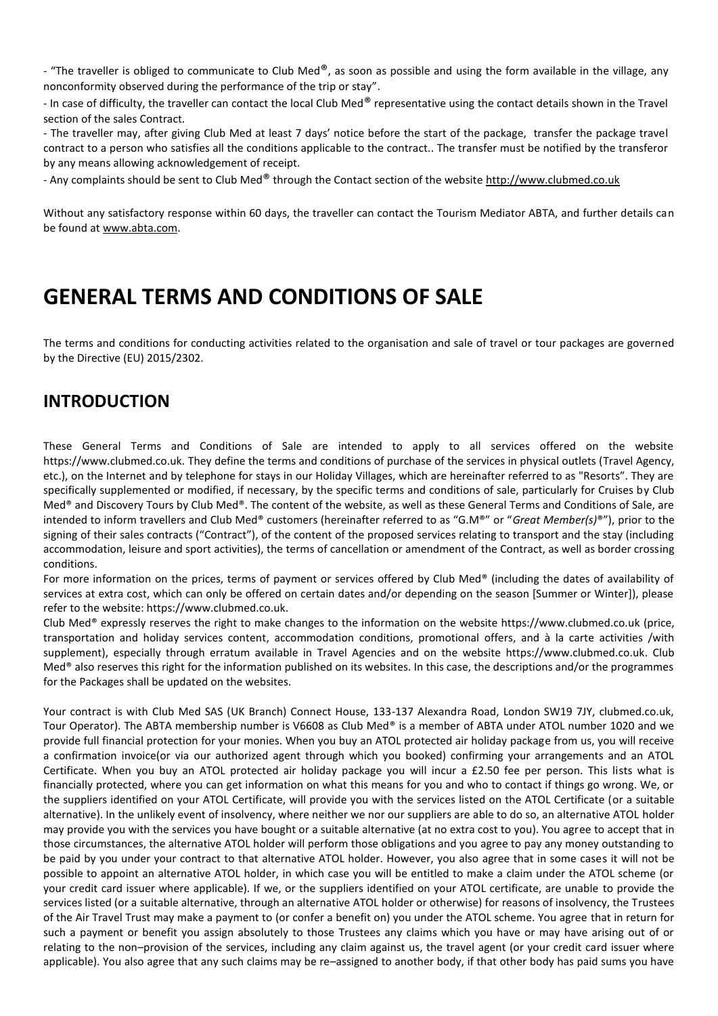- "The traveller is obliged to communicate to Club Med®, as soon as possible and using the form available in the village, any nonconformity observed during the performance of the trip or stay".

- In case of difficulty, the traveller can contact the local Club Med® representative using the contact details shown in the Travel section of the sales Contract.

- The traveller may, after giving Club Med at least 7 days' notice before the start of the package, transfer the package travel contract to a person who satisfies all the conditions applicable to the contract.. The transfer must be notified by the transferor by any means allowing acknowledgement of receipt.

- Any complaints should be sent to Club Med® through the Contact section of the website [http://www.clubmed.co.uk](http://www.clubmed.co.uk/)

Without any satisfactory response within 60 days, the traveller can contact the Tourism Mediator ABTA, and further details can be found at [www.abta.com.](http://www.abta.com/)

# **GENERAL TERMS AND CONDITIONS OF SALE**

The terms and conditions for conducting activities related to the organisation and sale of travel or tour packages are governed by the Directive (EU) 2015/2302.

## **INTRODUCTION**

These General Terms and Conditions of Sale are intended to apply to all services offered on the website https://www.clubmed.co.uk. They define the terms and conditions of purchase of the services in physical outlets (Travel Agency, etc.), on the Internet and by telephone for stays in our Holiday Villages, which are hereinafter referred to as "Resorts". They are specifically supplemented or modified, if necessary, by the specific terms and conditions of sale, particularly for Cruises by Club Med® and Discovery Tours by Club Med®. The content of the website, as well as these General Terms and Conditions of Sale, are intended to inform travellers and Club Med® customers (hereinafter referred to as "G.M®" or "*Great Member(s)*®"), prior to the signing of their sales contracts ("Contract"), of the content of the proposed services relating to transport and the stay (including accommodation, leisure and sport activities), the terms of cancellation or amendment of the Contract, as well as border crossing conditions.

For more information on the prices, terms of payment or services offered by Club Med® (including the dates of availability of services at extra cost, which can only be offered on certain dates and/or depending on the season [Summer or Winter]), please refer to the website: https://www.clubmed.co.uk.

Club Med® expressly reserves the right to make changes to the information on the website https://www.clubmed.co.uk (price, transportation and holiday services content, accommodation conditions, promotional offers, and à la carte activities /with supplement), especially through erratum available in Travel Agencies and on the website https://www.clubmed.co.uk. Club Med® also reserves this right for the information published on its websites. In this case, the descriptions and/or the programmes for the Packages shall be updated on the websites.

Your contract is with Club Med SAS (UK Branch) Connect House, 133-137 Alexandra Road, London SW19 7JY, clubmed.co.uk, Tour Operator). The ABTA membership number is V6608 as Club Med® is a member of ABTA under ATOL number 1020 and we provide full financial protection for your monies. When you buy an ATOL protected air holiday package from us, you will receive a confirmation invoice(or via our authorized agent through which you booked) confirming your arrangements and an ATOL Certificate. When you buy an ATOL protected air holiday package you will incur a £2.50 fee per person. This lists what is financially protected, where you can get information on what this means for you and who to contact if things go wrong. We, or the suppliers identified on your ATOL Certificate, will provide you with the services listed on the ATOL Certificate (or a suitable alternative). In the unlikely event of insolvency, where neither we nor our suppliers are able to do so, an alternative ATOL holder may provide you with the services you have bought or a suitable alternative (at no extra cost to you). You agree to accept that in those circumstances, the alternative ATOL holder will perform those obligations and you agree to pay any money outstanding to be paid by you under your contract to that alternative ATOL holder. However, you also agree that in some cases it will not be possible to appoint an alternative ATOL holder, in which case you will be entitled to make a claim under the ATOL scheme (or your credit card issuer where applicable). If we, or the suppliers identified on your ATOL certificate, are unable to provide the services listed (or a suitable alternative, through an alternative ATOL holder or otherwise) for reasons of insolvency, the Trustees of the Air Travel Trust may make a payment to (or confer a benefit on) you under the ATOL scheme. You agree that in return for such a payment or benefit you assign absolutely to those Trustees any claims which you have or may have arising out of or relating to the non–provision of the services, including any claim against us, the travel agent (or your credit card issuer where applicable). You also agree that any such claims may be re–assigned to another body, if that other body has paid sums you have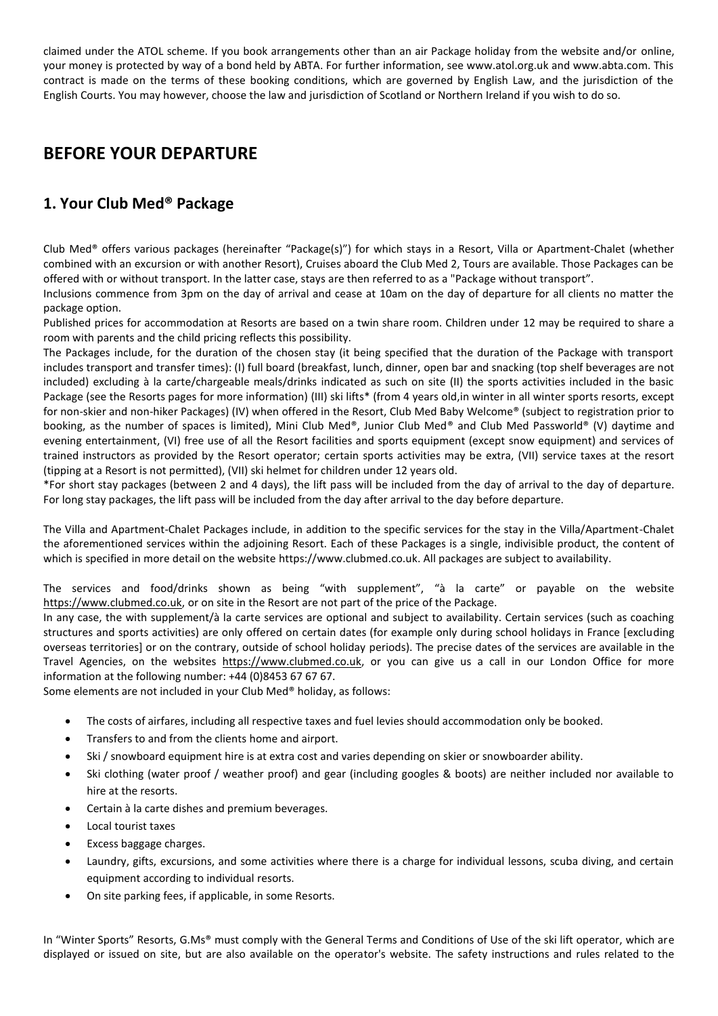claimed under the ATOL scheme. If you book arrangements other than an air Package holiday from the website and/or online, your money is protected by way of a bond held by ABTA. For further information, see www.atol.org.uk and www.abta.com. This contract is made on the terms of these booking conditions, which are governed by English Law, and the jurisdiction of the English Courts. You may however, choose the law and jurisdiction of Scotland or Northern Ireland if you wish to do so.

## **BEFORE YOUR DEPARTURE**

## **1. Your Club Med® Package**

Club Med® offers various packages (hereinafter "Package(s)") for which stays in a Resort, Villa or Apartment-Chalet (whether combined with an excursion or with another Resort), Cruises aboard the Club Med 2, Tours are available. Those Packages can be offered with or without transport. In the latter case, stays are then referred to as a "Package without transport".

Inclusions commence from 3pm on the day of arrival and cease at 10am on the day of departure for all clients no matter the package option.

Published prices for accommodation at Resorts are based on a twin share room. Children under 12 may be required to share a room with parents and the child pricing reflects this possibility.

The Packages include, for the duration of the chosen stay (it being specified that the duration of the Package with transport includes transport and transfer times): (I) full board (breakfast, lunch, dinner, open bar and snacking (top shelf beverages are not included) excluding à la carte/chargeable meals/drinks indicated as such on site (II) the sports activities included in the basic Package (see the Resorts pages for more information) (III) ski lifts\* (from 4 years old,in winter in all winter sports resorts, except for non-skier and non-hiker Packages) (IV) when offered in the Resort, Club Med Baby Welcome® (subject to registration prior to booking, as the number of spaces is limited), Mini Club Med®, Junior Club Med® and Club Med Passworld® (V) daytime and evening entertainment, (VI) free use of all the Resort facilities and sports equipment (except snow equipment) and services of trained instructors as provided by the Resort operator; certain sports activities may be extra, (VII) service taxes at the resort (tipping at a Resort is not permitted), (VII) ski helmet for children under 12 years old.

\*For short stay packages (between 2 and 4 days), the lift pass will be included from the day of arrival to the day of departure. For long stay packages, the lift pass will be included from the day after arrival to the day before departure.

The Villa and Apartment-Chalet Packages include, in addition to the specific services for the stay in the Villa/Apartment-Chalet the aforementioned services within the adjoining Resort. Each of these Packages is a single, indivisible product, the content of which is specified in more detail on the website https://www.clubmed.co.uk. All packages are subject to availability.

The services and food/drinks shown as being "with supplement", "à la carte" or payable on the website [https://www.clubmed.co.uk,](https://www.clubmed.co.uk/) or on site in the Resort are not part of the price of the Package.

In any case, the with supplement/à la carte services are optional and subject to availability. Certain services (such as coaching structures and sports activities) are only offered on certain dates (for example only during school holidays in France [excluding overseas territories] or on the contrary, outside of school holiday periods). The precise dates of the services are available in the Travel Agencies, on the websites [https://www.clubmed.co.uk,](https://www.clubmed.co.uk/) or you can give us a call in our London Office for more information at the following number: +44 (0)8453 67 67 67.

Some elements are not included in your Club Med® holiday, as follows:

- The costs of airfares, including all respective taxes and fuel levies should accommodation only be booked.
- Transfers to and from the clients home and airport.
- Ski / snowboard equipment hire is at extra cost and varies depending on skier or snowboarder ability.
- Ski clothing (water proof / weather proof) and gear (including googles & boots) are neither included nor available to hire at the resorts.
- Certain à la carte dishes and premium beverages.
- Local tourist taxes
- Excess baggage charges.
- Laundry, gifts, excursions, and some activities where there is a charge for individual lessons, scuba diving, and certain equipment according to individual resorts.
- On site parking fees, if applicable, in some Resorts.

In "Winter Sports" Resorts, G.Ms® must comply with the General Terms and Conditions of Use of the ski lift operator, which are displayed or issued on site, but are also available on the operator's website. The safety instructions and rules related to the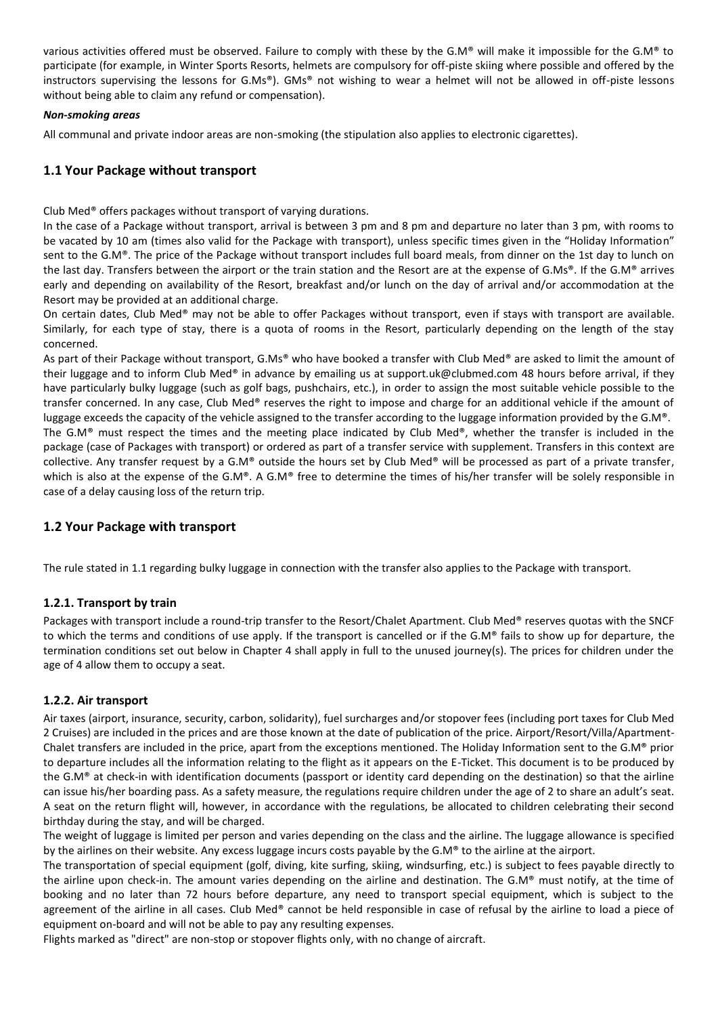various activities offered must be observed. Failure to comply with these by the G.M® will make it impossible for the G.M® to participate (for example, in Winter Sports Resorts, helmets are compulsory for off-piste skiing where possible and offered by the instructors supervising the lessons for G.Ms®). GMs® not wishing to wear a helmet will not be allowed in off-piste lessons without being able to claim any refund or compensation).

#### *Non-smoking areas*

All communal and private indoor areas are non-smoking (the stipulation also applies to electronic cigarettes).

#### **1.1 Your Package without transport**

Club Med® offers packages without transport of varying durations.

In the case of a Package without transport, arrival is between 3 pm and 8 pm and departure no later than 3 pm, with rooms to be vacated by 10 am (times also valid for the Package with transport), unless specific times given in the "Holiday Information" sent to the G.M®. The price of the Package without transport includes full board meals, from dinner on the 1st day to lunch on the last day. Transfers between the airport or the train station and the Resort are at the expense of G.Ms®. If the G.M® arrives early and depending on availability of the Resort, breakfast and/or lunch on the day of arrival and/or accommodation at the Resort may be provided at an additional charge.

On certain dates, Club Med® may not be able to offer Packages without transport, even if stays with transport are available. Similarly, for each type of stay, there is a quota of rooms in the Resort, particularly depending on the length of the stay concerned.

As part of their Package without transport, G.Ms® who have booked a transfer with Club Med® are asked to limit the amount of their luggage and to inform Club Med® in advance by emailing us at support.uk@clubmed.com 48 hours before arrival, if they have particularly bulky luggage (such as golf bags, pushchairs, etc.), in order to assign the most suitable vehicle possible to the transfer concerned. In any case, Club Med® reserves the right to impose and charge for an additional vehicle if the amount of luggage exceeds the capacity of the vehicle assigned to the transfer according to the luggage information provided by the G.M®. The G.M<sup>®</sup> must respect the times and the meeting place indicated by Club Med®, whether the transfer is included in the package (case of Packages with transport) or ordered as part of a transfer service with supplement. Transfers in this context are collective. Any transfer request by a G.M® outside the hours set by Club Med® will be processed as part of a private transfer, which is also at the expense of the G.M®. A G.M® free to determine the times of his/her transfer will be solely responsible in case of a delay causing loss of the return trip.

#### **1.2 Your Package with transport**

The rule stated in 1.1 regarding bulky luggage in connection with the transfer also applies to the Package with transport.

#### **1.2.1. Transport by train**

Packages with transport include a round-trip transfer to the Resort/Chalet Apartment. Club Med® reserves quotas with the SNCF to which the terms and conditions of use apply. If the transport is cancelled or if the G.M® fails to show up for departure, the termination conditions set out below in Chapter 4 shall apply in full to the unused journey(s). The prices for children under the age of 4 allow them to occupy a seat.

#### **1.2.2. Air transport**

Air taxes (airport, insurance, security, carbon, solidarity), fuel surcharges and/or stopover fees (including port taxes for Club Med 2 Cruises) are included in the prices and are those known at the date of publication of the price. Airport/Resort/Villa/Apartment-Chalet transfers are included in the price, apart from the exceptions mentioned. The Holiday Information sent to the G.M® prior to departure includes all the information relating to the flight as it appears on the E-Ticket. This document is to be produced by the G.M® at check-in with identification documents (passport or identity card depending on the destination) so that the airline can issue his/her boarding pass. As a safety measure, the regulations require children under the age of 2 to share an adult's seat. A seat on the return flight will, however, in accordance with the regulations, be allocated to children celebrating their second birthday during the stay, and will be charged.

The weight of luggage is limited per person and varies depending on the class and the airline. The luggage allowance is specified by the airlines on their website. Any excess luggage incurs costs payable by the G.M® to the airline at the airport.

The transportation of special equipment (golf, diving, kite surfing, skiing, windsurfing, etc.) is subject to fees payable directly to the airline upon check-in. The amount varies depending on the airline and destination. The G.M® must notify, at the time of booking and no later than 72 hours before departure, any need to transport special equipment, which is subject to the agreement of the airline in all cases. Club Med® cannot be held responsible in case of refusal by the airline to load a piece of equipment on-board and will not be able to pay any resulting expenses.

Flights marked as "direct" are non-stop or stopover flights only, with no change of aircraft.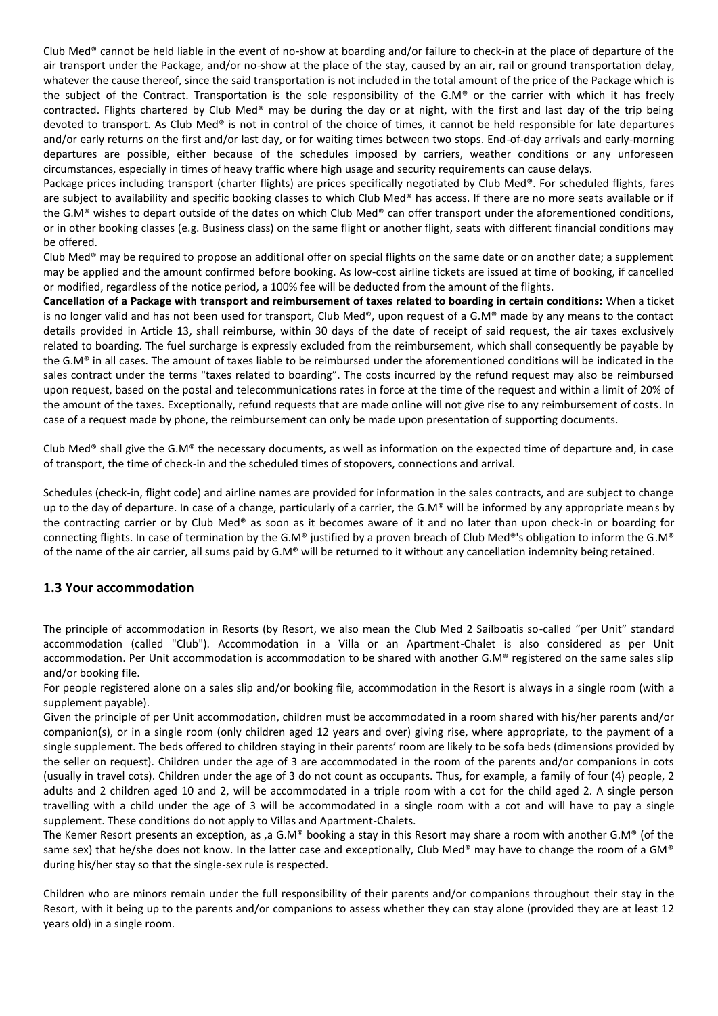Club Med® cannot be held liable in the event of no-show at boarding and/or failure to check-in at the place of departure of the air transport under the Package, and/or no-show at the place of the stay, caused by an air, rail or ground transportation delay, whatever the cause thereof, since the said transportation is not included in the total amount of the price of the Package which is the subject of the Contract. Transportation is the sole responsibility of the  $GM^{\circ}$  or the carrier with which it has freely contracted. Flights chartered by Club Med® may be during the day or at night, with the first and last day of the trip being devoted to transport. As Club Med® is not in control of the choice of times, it cannot be held responsible for late departures and/or early returns on the first and/or last day, or for waiting times between two stops. End-of-day arrivals and early-morning departures are possible, either because of the schedules imposed by carriers, weather conditions or any unforeseen circumstances, especially in times of heavy traffic where high usage and security requirements can cause delays.

Package prices including transport (charter flights) are prices specifically negotiated by Club Med®. For scheduled flights, fares are subject to availability and specific booking classes to which Club Med® has access. If there are no more seats available or if the G.M® wishes to depart outside of the dates on which Club Med® can offer transport under the aforementioned conditions, or in other booking classes (e.g. Business class) on the same flight or another flight, seats with different financial conditions may be offered.

Club Med® may be required to propose an additional offer on special flights on the same date or on another date; a supplement may be applied and the amount confirmed before booking. As low-cost airline tickets are issued at time of booking, if cancelled or modified, regardless of the notice period, a 100% fee will be deducted from the amount of the flights.

**Cancellation of a Package with transport and reimbursement of taxes related to boarding in certain conditions:** When a ticket is no longer valid and has not been used for transport, Club Med®, upon request of a G.M® made by any means to the contact details provided in Article 13, shall reimburse, within 30 days of the date of receipt of said request, the air taxes exclusively related to boarding. The fuel surcharge is expressly excluded from the reimbursement, which shall consequently be payable by the G.M® in all cases. The amount of taxes liable to be reimbursed under the aforementioned conditions will be indicated in the sales contract under the terms "taxes related to boarding". The costs incurred by the refund request may also be reimbursed upon request, based on the postal and telecommunications rates in force at the time of the request and within a limit of 20% of the amount of the taxes. Exceptionally, refund requests that are made online will not give rise to any reimbursement of costs. In case of a request made by phone, the reimbursement can only be made upon presentation of supporting documents.

Club Med® shall give the G.M® the necessary documents, as well as information on the expected time of departure and, in case of transport, the time of check-in and the scheduled times of stopovers, connections and arrival.

Schedules (check-in, flight code) and airline names are provided for information in the sales contracts, and are subject to change up to the day of departure. In case of a change, particularly of a carrier, the G.M® will be informed by any appropriate means by the contracting carrier or by Club Med® as soon as it becomes aware of it and no later than upon check-in or boarding for connecting flights. In case of termination by the G.M® justified by a proven breach of Club Med®'s obligation to inform the G.M® of the name of the air carrier, all sums paid by G.M® will be returned to it without any cancellation indemnity being retained.

#### **1.3 Your accommodation**

The principle of accommodation in Resorts (by Resort, we also mean the Club Med 2 Sailboatis so-called "per Unit" standard accommodation (called "Club"). Accommodation in a Villa or an Apartment-Chalet is also considered as per Unit accommodation. Per Unit accommodation is accommodation to be shared with another G.M® registered on the same sales slip and/or booking file.

For people registered alone on a sales slip and/or booking file, accommodation in the Resort is always in a single room (with a supplement payable).

Given the principle of per Unit accommodation, children must be accommodated in a room shared with his/her parents and/or companion(s), or in a single room (only children aged 12 years and over) giving rise, where appropriate, to the payment of a single supplement. The beds offered to children staying in their parents' room are likely to be sofa beds (dimensions provided by the seller on request). Children under the age of 3 are accommodated in the room of the parents and/or companions in cots (usually in travel cots). Children under the age of 3 do not count as occupants. Thus, for example, a family of four (4) people, 2 adults and 2 children aged 10 and 2, will be accommodated in a triple room with a cot for the child aged 2. A single person travelling with a child under the age of 3 will be accommodated in a single room with a cot and will have to pay a single supplement. These conditions do not apply to Villas and Apartment-Chalets.

The Kemer Resort presents an exception, as ,a G.M® booking a stay in this Resort may share a room with another G.M® (of the same sex) that he/she does not know. In the latter case and exceptionally, Club Med® may have to change the room of a GM® during his/her stay so that the single-sex rule is respected.

Children who are minors remain under the full responsibility of their parents and/or companions throughout their stay in the Resort, with it being up to the parents and/or companions to assess whether they can stay alone (provided they are at least 12 years old) in a single room.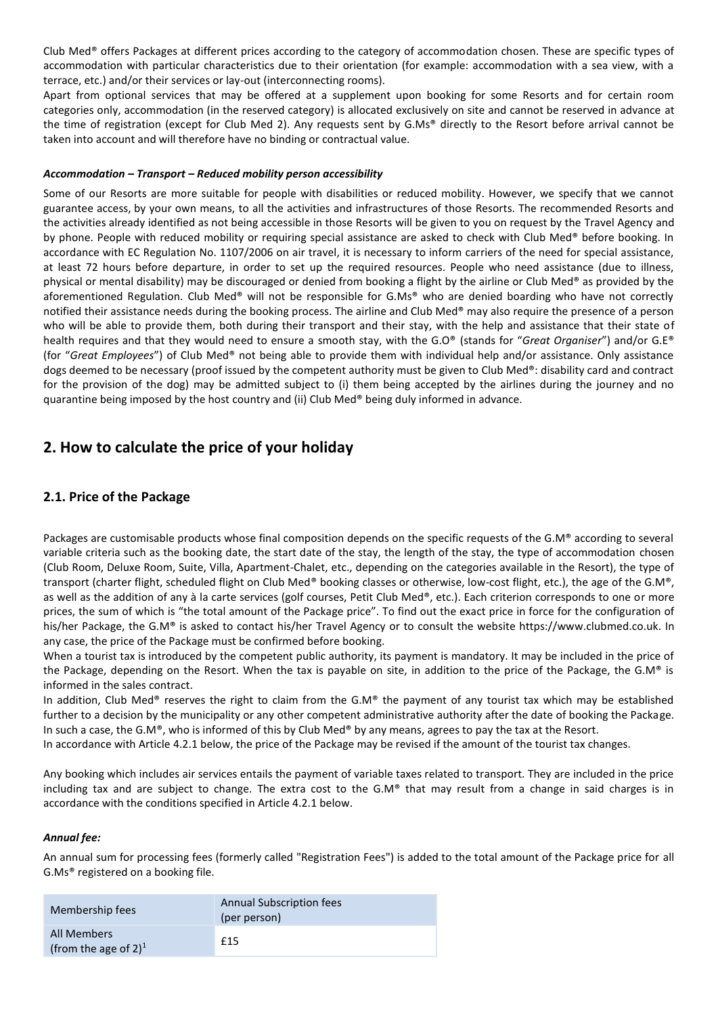Club Med® offers Packages at different prices according to the category of accommodation chosen. These are specific types of accommodation with particular characteristics due to their orientation (for example: accommodation with a sea view, with a terrace, etc.) and/or their services or lay-out (interconnecting rooms).

Apart from optional services that may be offered at a supplement upon booking for some Resorts and for certain room categories only, accommodation (in the reserved category) is allocated exclusively on site and cannot be reserved in advance at the time of registration (except for Club Med 2). Any requests sent by G.Ms® directly to the Resort before arrival cannot be taken into account and will therefore have no binding or contractual value.

#### *Accommodation – Transport – Reduced mobility person accessibility*

Some of our Resorts are more suitable for people with disabilities or reduced mobility. However, we specify that we cannot guarantee access, by your own means, to all the activities and infrastructures of those Resorts. The recommended Resorts and the activities already identified as not being accessible in those Resorts will be given to you on request by the Travel Agency and by phone. People with reduced mobility or requiring special assistance are asked to check with Club Med® before booking. In accordance with EC Regulation No. 1107/2006 on air travel, it is necessary to inform carriers of the need for special assistance, at least 72 hours before departure, in order to set up the required resources. People who need assistance (due to illness, physical or mental disability) may be discouraged or denied from booking a flight by the airline or Club Med® as provided by the aforementioned Regulation. Club Med® will not be responsible for G.Ms® who are denied boarding who have not correctly notified their assistance needs during the booking process. The airline and Club Med® may also require the presence of a person who will be able to provide them, both during their transport and their stay, with the help and assistance that their state of health requires and that they would need to ensure a smooth stay, with the G.O® (stands for "*Great Organiser*") and/or G.E® (for "*Great Employees*") of Club Med® not being able to provide them with individual help and/or assistance. Only assistance dogs deemed to be necessary (proof issued by the competent authority must be given to Club Med®: disability card and contract for the provision of the dog) may be admitted subject to (i) them being accepted by the airlines during the journey and no quarantine being imposed by the host country and (ii) Club Med® being duly informed in advance.

## **2. How to calculate the price of your holiday**

#### **2.1. Price of the Package**

Packages are customisable products whose final composition depends on the specific requests of the G.M® according to several variable criteria such as the booking date, the start date of the stay, the length of the stay, the type of accommodation chosen (Club Room, Deluxe Room, Suite, Villa, Apartment-Chalet, etc., depending on the categories available in the Resort), the type of transport (charter flight, scheduled flight on Club Med® booking classes or otherwise, low-cost flight, etc.), the age of the G.M®, as well as the addition of any à la carte services (golf courses, Petit Club Med®, etc.). Each criterion corresponds to one or more prices, the sum of which is "the total amount of the Package price". To find out the exact price in force for the configuration of his/her Package, the G.M® is asked to contact his/her Travel Agency or to consult the website https://www.clubmed.co.uk. In any case, the price of the Package must be confirmed before booking.

When a tourist tax is introduced by the competent public authority, its payment is mandatory. It may be included in the price of the Package, depending on the Resort. When the tax is payable on site, in addition to the price of the Package, the G.M® is informed in the sales contract.

In addition, Club Med® reserves the right to claim from the G.M® the payment of any tourist tax which may be established further to a decision by the municipality or any other competent administrative authority after the date of booking the Package. In such a case, the G.M®, who is informed of this by Club Med® by any means, agrees to pay the tax at the Resort.

In accordance with Article 4.2.1 below, the price of the Package may be revised if the amount of the tourist tax changes.

Any booking which includes air services entails the payment of variable taxes related to transport. They are included in the price including tax and are subject to change. The extra cost to the G.M® that may result from a change in said charges is in accordance with the conditions specified in Article 4.2.1 below.

#### *Annual fee:*

An annual sum for processing fees (formerly called "Registration Fees") is added to the total amount of the Package price for all G.Ms® registered on a booking file.

| Membership fees                                 | Annual Subscription fees<br>(per person) |
|-------------------------------------------------|------------------------------------------|
| All Members<br>(from the age of 2) <sup>1</sup> | f15                                      |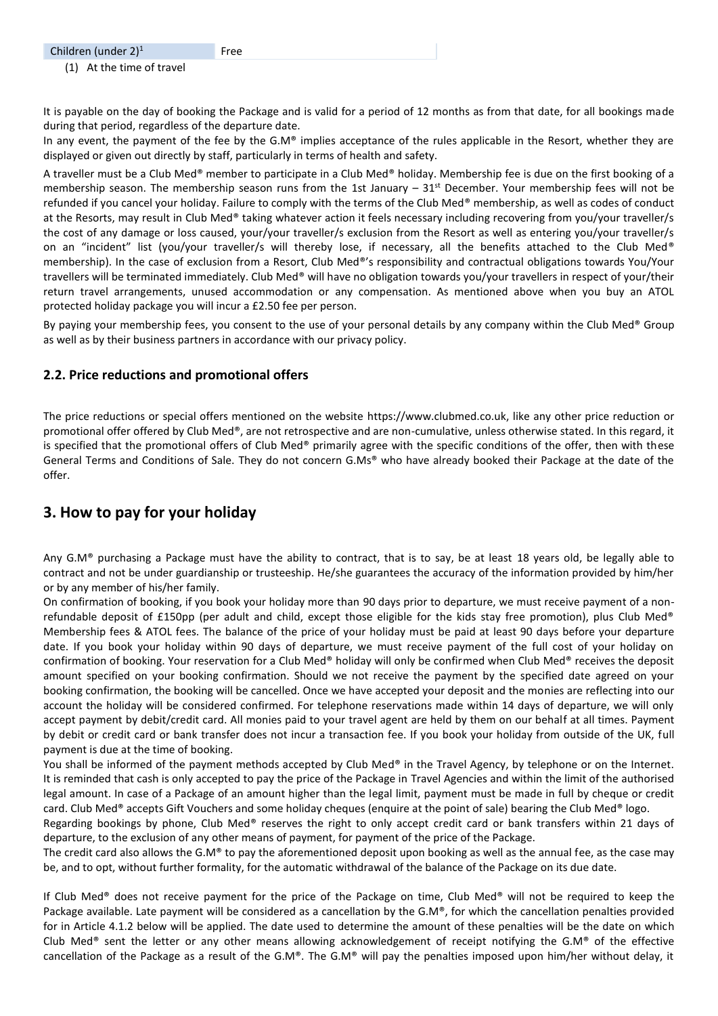#### (1) At the time of travel

Free

It is payable on the day of booking the Package and is valid for a period of 12 months as from that date, for all bookings made during that period, regardless of the departure date.

In any event, the payment of the fee by the G.M® implies acceptance of the rules applicable in the Resort, whether they are displayed or given out directly by staff, particularly in terms of health and safety.

A traveller must be a Club Med® member to participate in a Club Med® holiday. Membership fee is due on the first booking of a membership season. The membership season runs from the 1st January - 31<sup>st</sup> December. Your membership fees will not be refunded if you cancel your holiday. Failure to comply with the terms of the Club Med® membership, as well as codes of conduct at the Resorts, may result in Club Med® taking whatever action it feels necessary including recovering from you/your traveller/s the cost of any damage or loss caused, your/your traveller/s exclusion from the Resort as well as entering you/your traveller/s on an "incident" list (you/your traveller/s will thereby lose, if necessary, all the benefits attached to the Club Med® membership). In the case of exclusion from a Resort, Club Med®'s responsibility and contractual obligations towards You/Your travellers will be terminated immediately. Club Med® will have no obligation towards you/your travellers in respect of your/their return travel arrangements, unused accommodation or any compensation. As mentioned above when you buy an ATOL protected holiday package you will incur a £2.50 fee per person.

By paying your membership fees, you consent to the use of your personal details by any company within the Club Med® Group as well as by their business partners in accordance with our privacy policy.

#### **2.2. Price reductions and promotional offers**

The price reductions or special offers mentioned on the website https://www.clubmed.co.uk, like any other price reduction or promotional offer offered by Club Med®, are not retrospective and are non-cumulative, unless otherwise stated. In this regard, it is specified that the promotional offers of Club Med® primarily agree with the specific conditions of the offer, then with these General Terms and Conditions of Sale. They do not concern G.Ms® who have already booked their Package at the date of the offer.

### **3. How to pay for your holiday**

Any G.M<sup>®</sup> purchasing a Package must have the ability to contract, that is to say, be at least 18 years old, be legally able to contract and not be under guardianship or trusteeship. He/she guarantees the accuracy of the information provided by him/her or by any member of his/her family.

On confirmation of booking, if you book your holiday more than 90 days prior to departure, we must receive payment of a nonrefundable deposit of £150pp (per adult and child, except those eligible for the kids stay free promotion), plus Club Med® Membership fees & ATOL fees. The balance of the price of your holiday must be paid at least 90 days before your departure date. If you book your holiday within 90 days of departure, we must receive payment of the full cost of your holiday on confirmation of booking. Your reservation for a Club Med® holiday will only be confirmed when Club Med® receives the deposit amount specified on your booking confirmation. Should we not receive the payment by the specified date agreed on your booking confirmation, the booking will be cancelled. Once we have accepted your deposit and the monies are reflecting into our account the holiday will be considered confirmed. For telephone reservations made within 14 days of departure, we will only accept payment by debit/credit card. All monies paid to your travel agent are held by them on our behalf at all times. Payment by debit or credit card or bank transfer does not incur a transaction fee. If you book your holiday from outside of the UK, full payment is due at the time of booking.

You shall be informed of the payment methods accepted by Club Med® in the Travel Agency, by telephone or on the Internet. It is reminded that cash is only accepted to pay the price of the Package in Travel Agencies and within the limit of the authorised legal amount. In case of a Package of an amount higher than the legal limit, payment must be made in full by cheque or credit card. Club Med® accepts Gift Vouchers and some holiday cheques (enquire at the point of sale) bearing the Club Med® logo.

Regarding bookings by phone, Club Med® reserves the right to only accept credit card or bank transfers within 21 days of departure, to the exclusion of any other means of payment, for payment of the price of the Package.

The credit card also allows the G.M® to pay the aforementioned deposit upon booking as well as the annual fee, as the case may be, and to opt, without further formality, for the automatic withdrawal of the balance of the Package on its due date.

If Club Med® does not receive payment for the price of the Package on time, Club Med® will not be required to keep the Package available. Late payment will be considered as a cancellation by the G.M®, for which the cancellation penalties provided for in Article 4.1.2 below will be applied. The date used to determine the amount of these penalties will be the date on which Club Med® sent the letter or any other means allowing acknowledgement of receipt notifying the G.M® of the effective cancellation of the Package as a result of the G.M®. The G.M® will pay the penalties imposed upon him/her without delay, it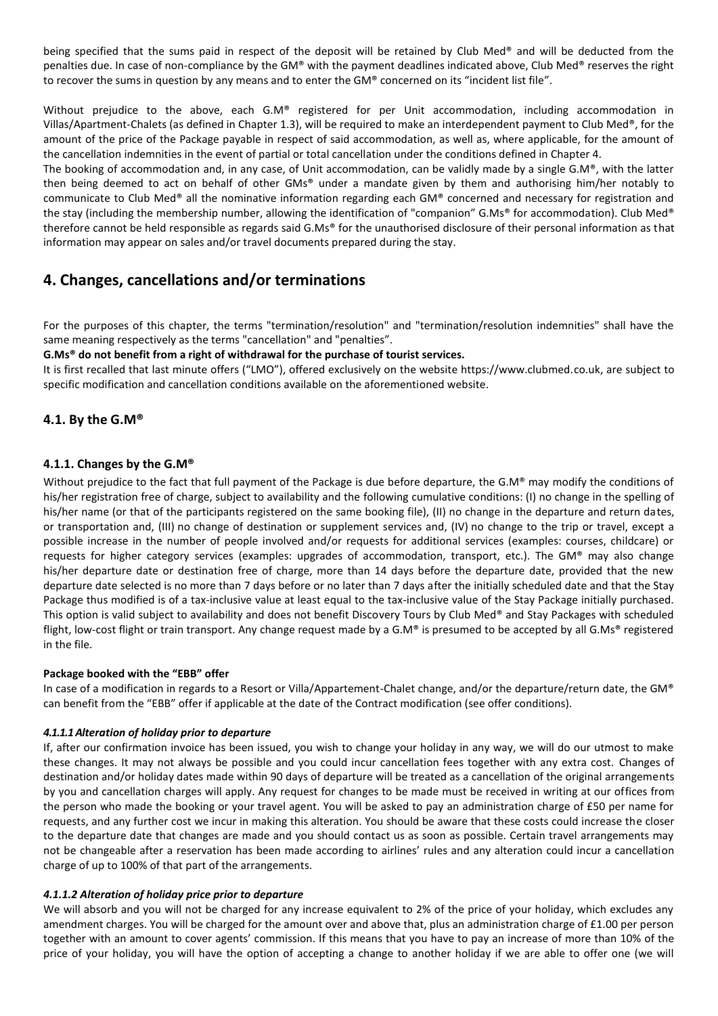being specified that the sums paid in respect of the deposit will be retained by Club Med® and will be deducted from the penalties due. In case of non-compliance by the GM® with the payment deadlines indicated above, Club Med® reserves the right to recover the sums in question by any means and to enter the GM® concerned on its "incident list file".

Without prejudice to the above, each G.M® registered for per Unit accommodation, including accommodation in Villas/Apartment-Chalets (as defined in Chapter 1.3), will be required to make an interdependent payment to Club Med®, for the amount of the price of the Package payable in respect of said accommodation, as well as, where applicable, for the amount of the cancellation indemnities in the event of partial or total cancellation under the conditions defined in Chapter 4.

The booking of accommodation and, in any case, of Unit accommodation, can be validly made by a single G.M®, with the latter then being deemed to act on behalf of other GMs® under a mandate given by them and authorising him/her notably to communicate to Club Med® all the nominative information regarding each GM® concerned and necessary for registration and the stay (including the membership number, allowing the identification of "companion" G.Ms® for accommodation). Club Med® therefore cannot be held responsible as regards said G.Ms® for the unauthorised disclosure of their personal information as that information may appear on sales and/or travel documents prepared during the stay.

### **4. Changes, cancellations and/or terminations**

For the purposes of this chapter, the terms "termination/resolution" and "termination/resolution indemnities" shall have the same meaning respectively as the terms "cancellation" and "penalties".

#### **G.Ms® do not benefit from a right of withdrawal for the purchase of tourist services.**

It is first recalled that last minute offers ("LMO"), offered exclusively on the website https://www.clubmed.co.uk, are subject to specific modification and cancellation conditions available on the aforementioned website.

#### **4.1. By the G.M®**

#### **4.1.1. Changes by the G.M®**

Without prejudice to the fact that full payment of the Package is due before departure, the G.M® may modify the conditions of his/her registration free of charge, subject to availability and the following cumulative conditions: (I) no change in the spelling of his/her name (or that of the participants registered on the same booking file), (II) no change in the departure and return dates, or transportation and, (III) no change of destination or supplement services and, (IV) no change to the trip or travel, except a possible increase in the number of people involved and/or requests for additional services (examples: courses, childcare) or requests for higher category services (examples: upgrades of accommodation, transport, etc.). The GM® may also change his/her departure date or destination free of charge, more than 14 days before the departure date, provided that the new departure date selected is no more than 7 days before or no later than 7 days after the initially scheduled date and that the Stay Package thus modified is of a tax-inclusive value at least equal to the tax-inclusive value of the Stay Package initially purchased. This option is valid subject to availability and does not benefit Discovery Tours by Club Med® and Stay Packages with scheduled flight, low-cost flight or train transport. Any change request made by a G.M® is presumed to be accepted by all G.Ms® registered in the file.

#### **Package booked with the "EBB" offer**

In case of a modification in regards to a Resort or Villa/Appartement-Chalet change, and/or the departure/return date, the GM® can benefit from the "EBB" offer if applicable at the date of the Contract modification (see offer conditions).

#### *4.1.1.1 Alteration of holiday prior to departure*

If, after our confirmation invoice has been issued, you wish to change your holiday in any way, we will do our utmost to make these changes. It may not always be possible and you could incur cancellation fees together with any extra cost. Changes of destination and/or holiday dates made within 90 days of departure will be treated as a cancellation of the original arrangements by you and cancellation charges will apply. Any request for changes to be made must be received in writing at our offices from the person who made the booking or your travel agent. You will be asked to pay an administration charge of £50 per name for requests, and any further cost we incur in making this alteration. You should be aware that these costs could increase the closer to the departure date that changes are made and you should contact us as soon as possible. Certain travel arrangements may not be changeable after a reservation has been made according to airlines' rules and any alteration could incur a cancellation charge of up to 100% of that part of the arrangements.

#### *4.1.1.2 Alteration of holiday price prior to departure*

We will absorb and you will not be charged for any increase equivalent to 2% of the price of your holiday, which excludes any amendment charges. You will be charged for the amount over and above that, plus an administration charge of £1.00 per person together with an amount to cover agents' commission. If this means that you have to pay an increase of more than 10% of the price of your holiday, you will have the option of accepting a change to another holiday if we are able to offer one (we will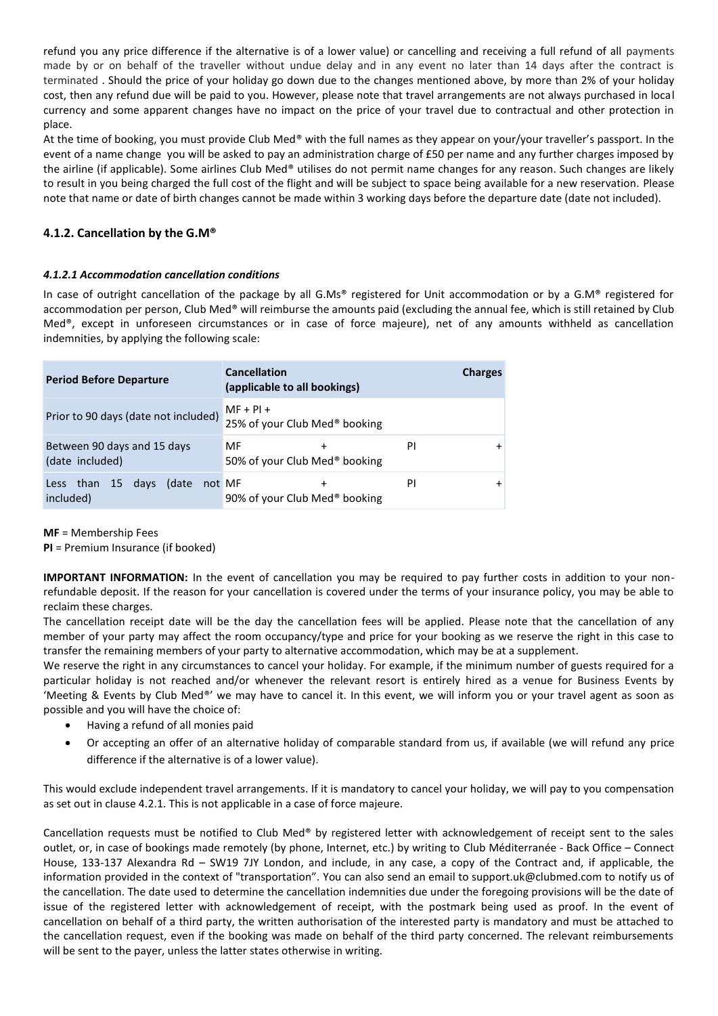refund you any price difference if the alternative is of a lower value) or cancelling and receiving a full refund of all payments made by or on behalf of the traveller without undue delay and in any event no later than 14 days after the contract is terminated . Should the price of your holiday go down due to the changes mentioned above, by more than 2% of your holiday cost, then any refund due will be paid to you. However, please note that travel arrangements are not always purchased in local currency and some apparent changes have no impact on the price of your travel due to contractual and other protection in place.

At the time of booking, you must provide Club Med® with the full names as they appear on your/your traveller's passport. In the event of a name change you will be asked to pay an administration charge of £50 per name and any further charges imposed by the airline (if applicable). Some airlines Club Med® utilises do not permit name changes for any reason. Such changes are likely to result in you being charged the full cost of the flight and will be subject to space being available for a new reservation. Please note that name or date of birth changes cannot be made within 3 working days before the departure date (date not included).

#### **4.1.2. Cancellation by the G.M®**

#### *4.1.2.1 Accommodation cancellation conditions*

In case of outright cancellation of the package by all G.Ms® registered for Unit accommodation or by a G.M® registered for accommodation per person, Club Med® will reimburse the amounts paid (excluding the annual fee, which is still retained by Club Med®, except in unforeseen circumstances or in case of force majeure), net of any amounts withheld as cancellation indemnities, by applying the following scale:

| <b>Period Before Departure</b>                    | <b>Cancellation</b><br>(applicable to all bookings) | <b>Charges</b> |
|---------------------------------------------------|-----------------------------------------------------|----------------|
| Prior to 90 days (date not included)              | $MF + PI +$<br>25% of your Club Med® booking        |                |
| Between 90 days and 15 days<br>(date included)    | MF<br>ΡI<br>50% of your Club Med® booking           | +              |
| than 15 days<br>(date not MF<br>Less<br>included) | ΡI<br>٠<br>90% of your Club Med® booking            |                |

**MF** = Membership Fees

**PI** = Premium Insurance (if booked)

**IMPORTANT INFORMATION:** In the event of cancellation you may be required to pay further costs in addition to your nonrefundable deposit. If the reason for your cancellation is covered under the terms of your insurance policy, you may be able to reclaim these charges.

The cancellation receipt date will be the day the cancellation fees will be applied. Please note that the cancellation of any member of your party may affect the room occupancy/type and price for your booking as we reserve the right in this case to transfer the remaining members of your party to alternative accommodation, which may be at a supplement.

We reserve the right in any circumstances to cancel your holiday. For example, if the minimum number of guests required for a particular holiday is not reached and/or whenever the relevant resort is entirely hired as a venue for Business Events by 'Meeting & Events by Club Med®' we may have to cancel it. In this event, we will inform you or your travel agent as soon as possible and you will have the choice of:

- Having a refund of all monies paid
- Or accepting an offer of an alternative holiday of comparable standard from us, if available (we will refund any price difference if the alternative is of a lower value).

This would exclude independent travel arrangements. If it is mandatory to cancel your holiday, we will pay to you compensation as set out in clause 4.2.1. This is not applicable in a case of force majeure.

Cancellation requests must be notified to Club Med® by registered letter with acknowledgement of receipt sent to the sales outlet, or, in case of bookings made remotely (by phone, Internet, etc.) by writing to Club Méditerranée - Back Office – Connect House, 133-137 Alexandra Rd – SW19 7JY London, and include, in any case, a copy of the Contract and, if applicable, the information provided in the context of "transportation". You can also send an email to support.uk@clubmed.com to notify us of the cancellation. The date used to determine the cancellation indemnities due under the foregoing provisions will be the date of issue of the registered letter with acknowledgement of receipt, with the postmark being used as proof. In the event of cancellation on behalf of a third party, the written authorisation of the interested party is mandatory and must be attached to the cancellation request, even if the booking was made on behalf of the third party concerned. The relevant reimbursements will be sent to the payer, unless the latter states otherwise in writing.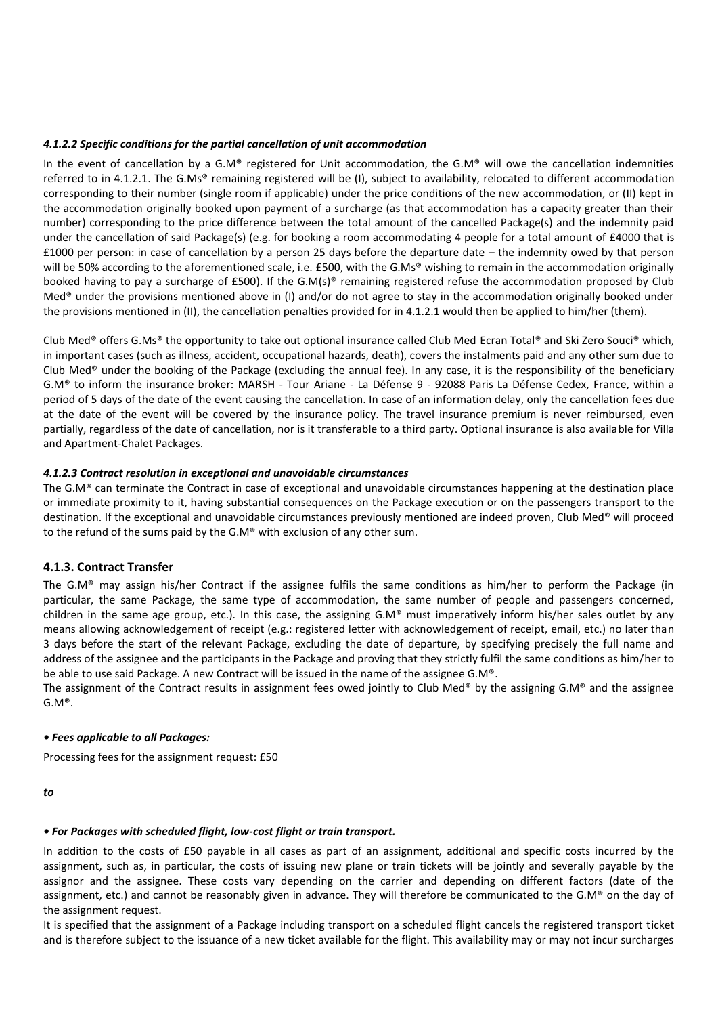#### *4.1.2.2 Specific conditions for the partial cancellation of unit accommodation*

In the event of cancellation by a  $GM^{\circ}$  registered for Unit accommodation, the  $GM^{\circ}$  will owe the cancellation indemnities referred to in 4.1.2.1. The G.Ms® remaining registered will be (I), subject to availability, relocated to different accommodation corresponding to their number (single room if applicable) under the price conditions of the new accommodation, or (II) kept in the accommodation originally booked upon payment of a surcharge (as that accommodation has a capacity greater than their number) corresponding to the price difference between the total amount of the cancelled Package(s) and the indemnity paid under the cancellation of said Package(s) (e.g. for booking a room accommodating 4 people for a total amount of £4000 that is £1000 per person: in case of cancellation by a person 25 days before the departure date – the indemnity owed by that person will be 50% according to the aforementioned scale, i.e. £500, with the G.Ms® wishing to remain in the accommodation originally booked having to pay a surcharge of £500). If the G.M(s)® remaining registered refuse the accommodation proposed by Club Med<sup>®</sup> under the provisions mentioned above in (I) and/or do not agree to stay in the accommodation originally booked under the provisions mentioned in (II), the cancellation penalties provided for in 4.1.2.1 would then be applied to him/her (them).

Club Med® offers G.Ms® the opportunity to take out optional insurance called Club Med Ecran Total® and Ski Zero Souci® which, in important cases (such as illness, accident, occupational hazards, death), covers the instalments paid and any other sum due to Club Med® under the booking of the Package (excluding the annual fee). In any case, it is the responsibility of the beneficiary G.M® to inform the insurance broker: MARSH - Tour Ariane - La Défense 9 - 92088 Paris La Défense Cedex, France, within a period of 5 days of the date of the event causing the cancellation. In case of an information delay, only the cancellation fees due at the date of the event will be covered by the insurance policy. The travel insurance premium is never reimbursed, even partially, regardless of the date of cancellation, nor is it transferable to a third party. Optional insurance is also available for Villa and Apartment-Chalet Packages.

#### *4.1.2.3 Contract resolution in exceptional and unavoidable circumstances*

The G.M® can terminate the Contract in case of exceptional and unavoidable circumstances happening at the destination place or immediate proximity to it, having substantial consequences on the Package execution or on the passengers transport to the destination. If the exceptional and unavoidable circumstances previously mentioned are indeed proven, Club Med® will proceed to the refund of the sums paid by the G.M® with exclusion of any other sum.

#### **4.1.3. Contract Transfer**

The G.M<sup>®</sup> may assign his/her Contract if the assignee fulfils the same conditions as him/her to perform the Package (in particular, the same Package, the same type of accommodation, the same number of people and passengers concerned, children in the same age group, etc.). In this case, the assigning G.M® must imperatively inform his/her sales outlet by any means allowing acknowledgement of receipt (e.g.: registered letter with acknowledgement of receipt, email, etc.) no later than 3 days before the start of the relevant Package, excluding the date of departure, by specifying precisely the full name and address of the assignee and the participants in the Package and proving that they strictly fulfil the same conditions as him/her to be able to use said Package. A new Contract will be issued in the name of the assignee G.M®.

The assignment of the Contract results in assignment fees owed jointly to Club Med® by the assigning  $GM^{\circ}$  and the assignee G.M®.

#### *• Fees applicable to all Packages:*

Processing fees for the assignment request: £50

*to*

#### *• For Packages with scheduled flight, low-cost flight or train transport.*

In addition to the costs of £50 payable in all cases as part of an assignment, additional and specific costs incurred by the assignment, such as, in particular, the costs of issuing new plane or train tickets will be jointly and severally payable by the assignor and the assignee. These costs vary depending on the carrier and depending on different factors (date of the assignment, etc.) and cannot be reasonably given in advance. They will therefore be communicated to the G.M® on the day of the assignment request.

It is specified that the assignment of a Package including transport on a scheduled flight cancels the registered transport ticket and is therefore subject to the issuance of a new ticket available for the flight. This availability may or may not incur surcharges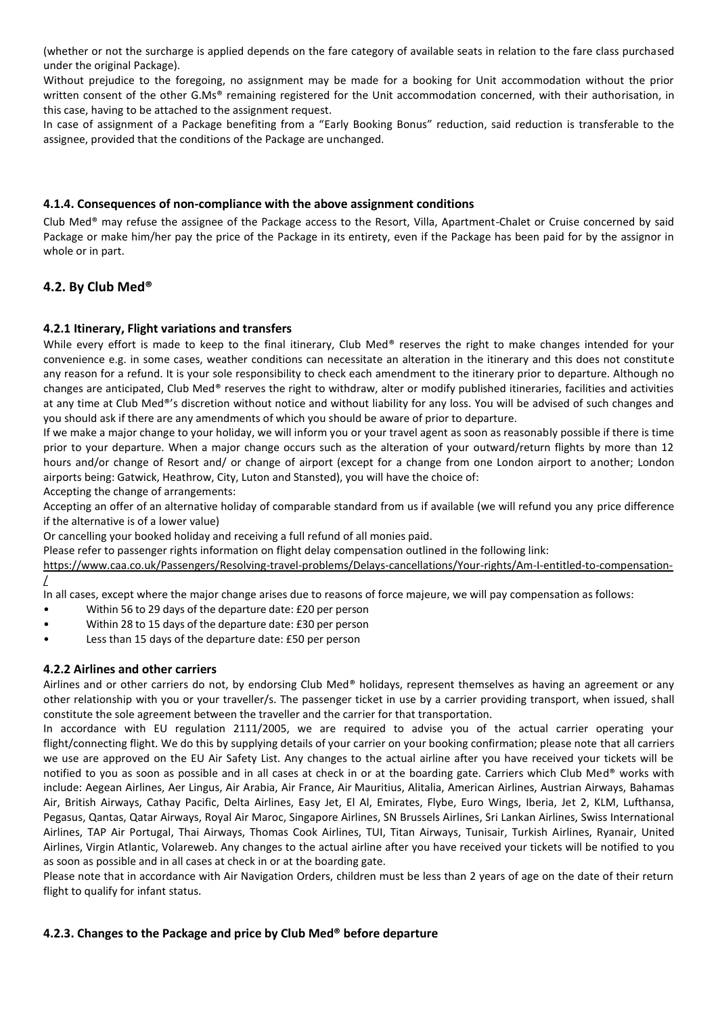(whether or not the surcharge is applied depends on the fare category of available seats in relation to the fare class purchased under the original Package).

Without prejudice to the foregoing, no assignment may be made for a booking for Unit accommodation without the prior written consent of the other G.Ms® remaining registered for the Unit accommodation concerned, with their authorisation, in this case, having to be attached to the assignment request.

In case of assignment of a Package benefiting from a "Early Booking Bonus" reduction, said reduction is transferable to the assignee, provided that the conditions of the Package are unchanged.

#### **4.1.4. Consequences of non-compliance with the above assignment conditions**

Club Med® may refuse the assignee of the Package access to the Resort, Villa, Apartment-Chalet or Cruise concerned by said Package or make him/her pay the price of the Package in its entirety, even if the Package has been paid for by the assignor in whole or in part.

#### **4.2. By Club Med®**

#### **4.2.1 Itinerary, Flight variations and transfers**

While every effort is made to keep to the final itinerary, Club Med® reserves the right to make changes intended for your convenience e.g. in some cases, weather conditions can necessitate an alteration in the itinerary and this does not constitute any reason for a refund. It is your sole responsibility to check each amendment to the itinerary prior to departure. Although no changes are anticipated, Club Med® reserves the right to withdraw, alter or modify published itineraries, facilities and activities at any time at Club Med®'s discretion without notice and without liability for any loss. You will be advised of such changes and you should ask if there are any amendments of which you should be aware of prior to departure.

If we make a major change to your holiday, we will inform you or your travel agent as soon as reasonably possible if there is time prior to your departure. When a major change occurs such as the alteration of your outward/return flights by more than 12 hours and/or change of Resort and/ or change of airport (except for a change from one London airport to another; London airports being: Gatwick, Heathrow, City, Luton and Stansted), you will have the choice of:

Accepting the change of arrangements:

Accepting an offer of an alternative holiday of comparable standard from us if available (we will refund you any price difference if the alternative is of a lower value)

Or cancelling your booked holiday and receiving a full refund of all monies paid.

Please refer to passenger rights information on flight delay compensation outlined in the following link:

[https://www.caa.co.uk/Passengers/Resolving-travel-problems/Delays-cancellations/Your-rights/Am-I-entitled-to-compensation-](https://www.caa.co.uk/Passengers/Resolving-travel-problems/Delays-cancellations/Your-rights/Am-I-entitled-to-compensation-/)

[/](https://www.caa.co.uk/Passengers/Resolving-travel-problems/Delays-cancellations/Your-rights/Am-I-entitled-to-compensation-/)

In all cases, except where the major change arises due to reasons of force majeure, we will pay compensation as follows:

- Within 56 to 29 days of the departure date: £20 per person
- Within 28 to 15 days of the departure date: £30 per person
- Less than 15 days of the departure date: £50 per person

#### **4.2.2 Airlines and other carriers**

Airlines and or other carriers do not, by endorsing Club Med® holidays, represent themselves as having an agreement or any other relationship with you or your traveller/s. The passenger ticket in use by a carrier providing transport, when issued, shall constitute the sole agreement between the traveller and the carrier for that transportation.

In accordance with EU regulation 2111/2005, we are required to advise you of the actual carrier operating your flight/connecting flight. We do this by supplying details of your carrier on your booking confirmation; please note that all carriers we use are approved on the EU Air Safety List. Any changes to the actual airline after you have received your tickets will be notified to you as soon as possible and in all cases at check in or at the boarding gate. Carriers which Club Med® works with include: Aegean Airlines, Aer Lingus, Air Arabia, Air France, Air Mauritius, Alitalia, American Airlines, Austrian Airways, Bahamas Air, British Airways, Cathay Pacific, Delta Airlines, Easy Jet, El Al, Emirates, Flybe, Euro Wings, Iberia, Jet 2, KLM, Lufthansa, Pegasus, Qantas, Qatar Airways, Royal Air Maroc, Singapore Airlines, SN Brussels Airlines, Sri Lankan Airlines, Swiss International Airlines, TAP Air Portugal, Thai Airways, Thomas Cook Airlines, TUI, Titan Airways, Tunisair, Turkish Airlines, Ryanair, United Airlines, Virgin Atlantic, Volareweb. Any changes to the actual airline after you have received your tickets will be notified to you as soon as possible and in all cases at check in or at the boarding gate.

Please note that in accordance with Air Navigation Orders, children must be less than 2 years of age on the date of their return flight to qualify for infant status.

#### **4.2.3. Changes to the Package and price by Club Med® before departure**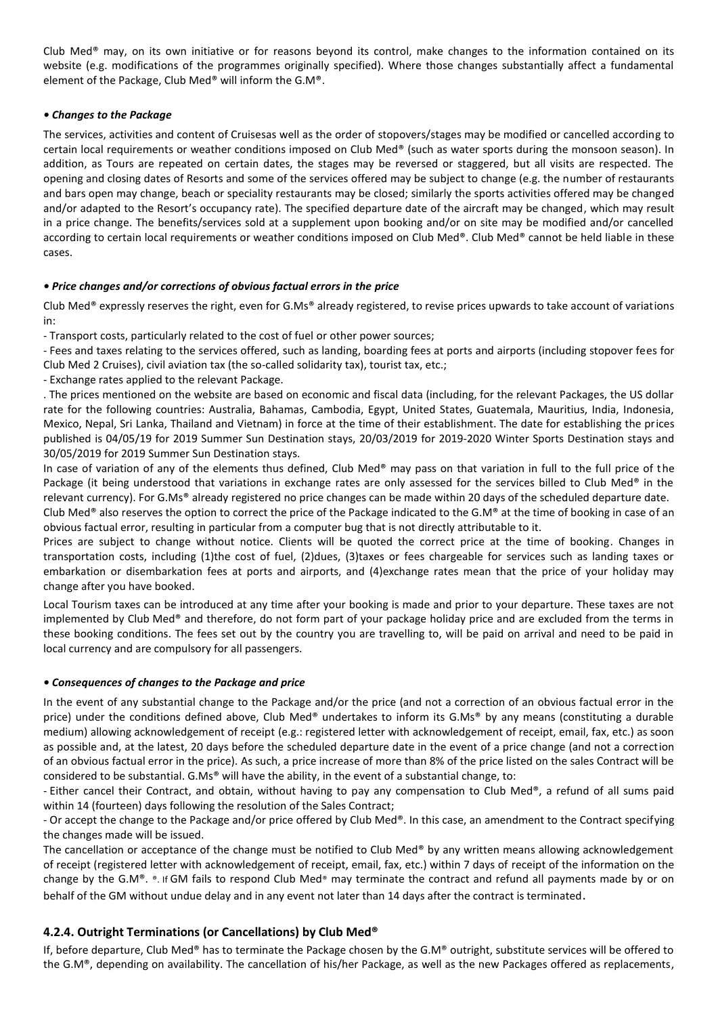Club Med® may, on its own initiative or for reasons beyond its control, make changes to the information contained on its website (e.g. modifications of the programmes originally specified). Where those changes substantially affect a fundamental element of the Package, Club Med® will inform the G.M®.

#### *• Changes to the Package*

The services, activities and content of Cruisesas well as the order of stopovers/stages may be modified or cancelled according to certain local requirements or weather conditions imposed on Club Med® (such as water sports during the monsoon season). In addition, as Tours are repeated on certain dates, the stages may be reversed or staggered, but all visits are respected. The opening and closing dates of Resorts and some of the services offered may be subject to change (e.g. the number of restaurants and bars open may change, beach or speciality restaurants may be closed; similarly the sports activities offered may be changed and/or adapted to the Resort's occupancy rate). The specified departure date of the aircraft may be changed, which may result in a price change. The benefits/services sold at a supplement upon booking and/or on site may be modified and/or cancelled according to certain local requirements or weather conditions imposed on Club Med®. Club Med® cannot be held liable in these cases.

#### *• Price changes and/or corrections of obvious factual errors in the price*

Club Med® expressly reserves the right, even for G.Ms® already registered, to revise prices upwards to take account of variations in:

- Transport costs, particularly related to the cost of fuel or other power sources;

- Fees and taxes relating to the services offered, such as landing, boarding fees at ports and airports (including stopover fees for Club Med 2 Cruises), civil aviation tax (the so-called solidarity tax), tourist tax, etc.;

- Exchange rates applied to the relevant Package.

. The prices mentioned on the website are based on economic and fiscal data (including, for the relevant Packages, the US dollar rate for the following countries: Australia, Bahamas, Cambodia, Egypt, United States, Guatemala, Mauritius, India, Indonesia, Mexico, Nepal, Sri Lanka, Thailand and Vietnam) in force at the time of their establishment. The date for establishing the prices published is 04/05/19 for 2019 Summer Sun Destination stays, 20/03/2019 for 2019-2020 Winter Sports Destination stays and 30/05/2019 for 2019 Summer Sun Destination stays.

In case of variation of any of the elements thus defined, Club Med® may pass on that variation in full to the full price of the Package (it being understood that variations in exchange rates are only assessed for the services billed to Club Med® in the relevant currency). For G.Ms® already registered no price changes can be made within 20 days of the scheduled departure date.

Club Med® also reserves the option to correct the price of the Package indicated to the G.M® at the time of booking in case of an obvious factual error, resulting in particular from a computer bug that is not directly attributable to it.

Prices are subject to change without notice. Clients will be quoted the correct price at the time of booking. Changes in transportation costs, including (1)the cost of fuel, (2)dues, (3)taxes or fees chargeable for services such as landing taxes or embarkation or disembarkation fees at ports and airports, and (4)exchange rates mean that the price of your holiday may change after you have booked.

Local Tourism taxes can be introduced at any time after your booking is made and prior to your departure. These taxes are not implemented by Club Med® and therefore, do not form part of your package holiday price and are excluded from the terms in these booking conditions. The fees set out by the country you are travelling to, will be paid on arrival and need to be paid in local currency and are compulsory for all passengers.

#### *• Consequences of changes to the Package and price*

In the event of any substantial change to the Package and/or the price (and not a correction of an obvious factual error in the price) under the conditions defined above, Club Med® undertakes to inform its G.Ms® by any means (constituting a durable medium) allowing acknowledgement of receipt (e.g.: registered letter with acknowledgement of receipt, email, fax, etc.) as soon as possible and, at the latest, 20 days before the scheduled departure date in the event of a price change (and not a correction of an obvious factual error in the price). As such, a price increase of more than 8% of the price listed on the sales Contract will be considered to be substantial. G.Ms® will have the ability, in the event of a substantial change, to:

- Either cancel their Contract, and obtain, without having to pay any compensation to Club Med®, a refund of all sums paid within 14 (fourteen) days following the resolution of the Sales Contract;

- Or accept the change to the Package and/or price offered by Club Med®. In this case, an amendment to the Contract specifying the changes made will be issued.

The cancellation or acceptance of the change must be notified to Club Med® by any written means allowing acknowledgement of receipt (registered letter with acknowledgement of receipt, email, fax, etc.) within 7 days of receipt of the information on the change by the G.M®. ®. If GM fails to respond Club Med® may terminate the contract and refund all payments made by or on behalf of the GM without undue delay and in any event not later than 14 days after the contract is terminated.

#### **4.2.4. Outright Terminations (or Cancellations) by Club Med®**

If, before departure, Club Med® has to terminate the Package chosen by the G.M® outright, substitute services will be offered to the G.M®, depending on availability. The cancellation of his/her Package, as well as the new Packages offered as replacements,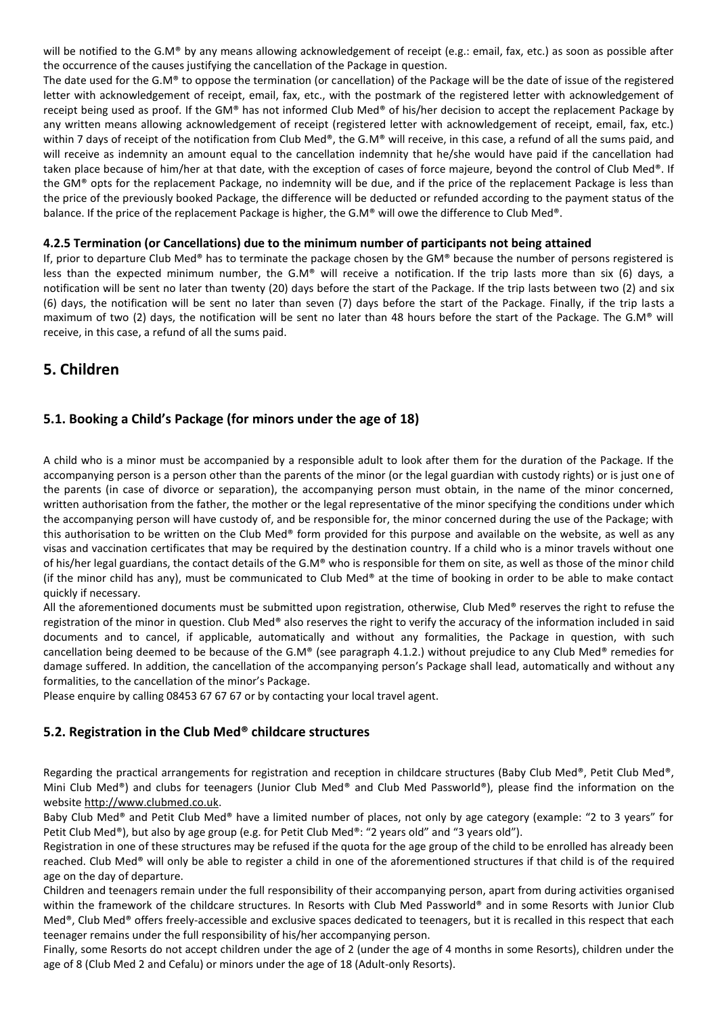will be notified to the G.M® by any means allowing acknowledgement of receipt (e.g.: email, fax, etc.) as soon as possible after the occurrence of the causes justifying the cancellation of the Package in question.

The date used for the G.M® to oppose the termination (or cancellation) of the Package will be the date of issue of the registered letter with acknowledgement of receipt, email, fax, etc., with the postmark of the registered letter with acknowledgement of receipt being used as proof. If the GM® has not informed Club Med® of his/her decision to accept the replacement Package by any written means allowing acknowledgement of receipt (registered letter with acknowledgement of receipt, email, fax, etc.) within 7 days of receipt of the notification from Club Med®, the G.M® will receive, in this case, a refund of all the sums paid, and will receive as indemnity an amount equal to the cancellation indemnity that he/she would have paid if the cancellation had taken place because of him/her at that date, with the exception of cases of force majeure, beyond the control of Club Med®. If the GM® opts for the replacement Package, no indemnity will be due, and if the price of the replacement Package is less than the price of the previously booked Package, the difference will be deducted or refunded according to the payment status of the balance. If the price of the replacement Package is higher, the G.M® will owe the difference to Club Med®.

#### **4.2.5 Termination (or Cancellations) due to the minimum number of participants not being attained**

If, prior to departure Club Med® has to terminate the package chosen by the GM® because the number of persons registered is less than the expected minimum number, the G.M® will receive a notification. If the trip lasts more than six (6) days, a notification will be sent no later than twenty (20) days before the start of the Package. If the trip lasts between two (2) and six (6) days, the notification will be sent no later than seven (7) days before the start of the Package. Finally, if the trip lasts a maximum of two (2) days, the notification will be sent no later than 48 hours before the start of the Package. The G.M® will receive, in this case, a refund of all the sums paid.

## **5. Children**

#### **5.1. Booking a Child's Package (for minors under the age of 18)**

A child who is a minor must be accompanied by a responsible adult to look after them for the duration of the Package. If the accompanying person is a person other than the parents of the minor (or the legal guardian with custody rights) or is just one of the parents (in case of divorce or separation), the accompanying person must obtain, in the name of the minor concerned, written authorisation from the father, the mother or the legal representative of the minor specifying the conditions under which the accompanying person will have custody of, and be responsible for, the minor concerned during the use of the Package; with this authorisation to be written on the Club Med® form provided for this purpose and available on the website, as well as any visas and vaccination certificates that may be required by the destination country. If a child who is a minor travels without one of his/her legal guardians, the contact details of the G.M® who is responsible for them on site, as well as those of the minor child (if the minor child has any), must be communicated to Club Med® at the time of booking in order to be able to make contact quickly if necessary.

All the aforementioned documents must be submitted upon registration, otherwise, Club Med® reserves the right to refuse the registration of the minor in question. Club Med® also reserves the right to verify the accuracy of the information included in said documents and to cancel, if applicable, automatically and without any formalities, the Package in question, with such cancellation being deemed to be because of the G.M® (see paragraph 4.1.2.) without prejudice to any Club Med® remedies for damage suffered. In addition, the cancellation of the accompanying person's Package shall lead, automatically and without any formalities, to the cancellation of the minor's Package.

Please enquire by calling 08453 67 67 67 or by contacting your local travel agent.

#### **5.2. Registration in the Club Med® childcare structures**

Regarding the practical arrangements for registration and reception in childcare structures (Baby Club Med®, Petit Club Med®, Mini Club Med®) and clubs for teenagers (Junior Club Med® and Club Med Passworld®), please find the information on the website [http://www.clubmed.co.uk.](http://www.clubmed.co.uk/)

Baby Club Med® and Petit Club Med® have a limited number of places, not only by age category (example: "2 to 3 years" for Petit Club Med®), but also by age group (e.g. for Petit Club Med®: "2 years old" and "3 years old").

Registration in one of these structures may be refused if the quota for the age group of the child to be enrolled has already been reached. Club Med® will only be able to register a child in one of the aforementioned structures if that child is of the required age on the day of departure.

Children and teenagers remain under the full responsibility of their accompanying person, apart from during activities organised within the framework of the childcare structures. In Resorts with Club Med Passworld® and in some Resorts with Junior Club Med<sup>®</sup>, Club Med<sup>®</sup> offers freely-accessible and exclusive spaces dedicated to teenagers, but it is recalled in this respect that each teenager remains under the full responsibility of his/her accompanying person.

Finally, some Resorts do not accept children under the age of 2 (under the age of 4 months in some Resorts), children under the age of 8 (Club Med 2 and Cefalu) or minors under the age of 18 (Adult-only Resorts).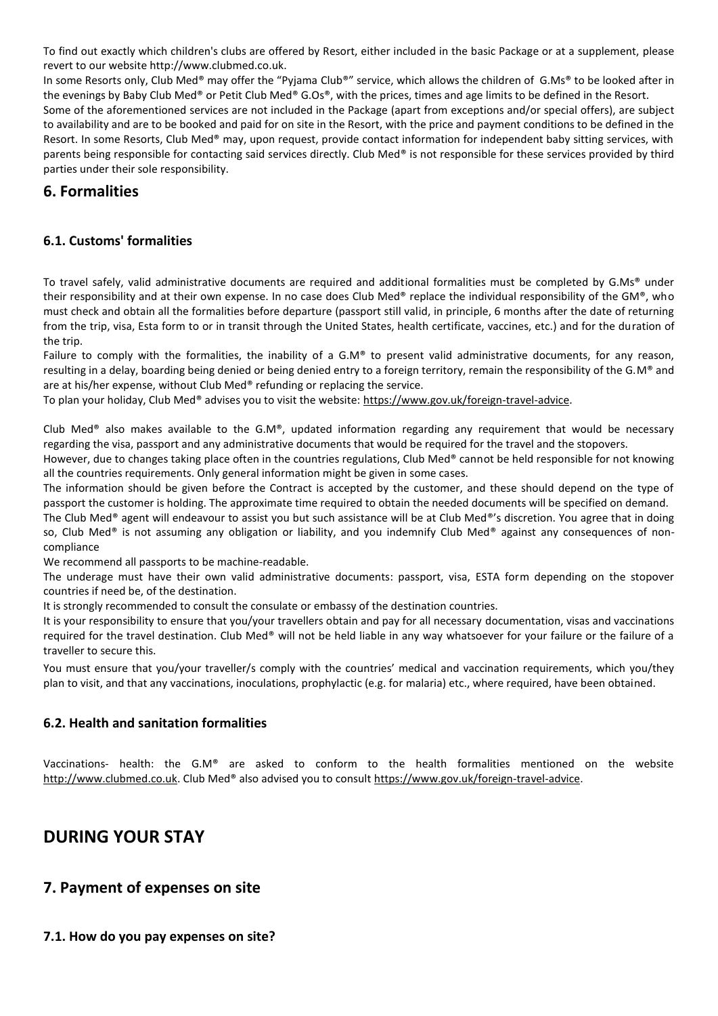To find out exactly which children's clubs are offered by Resort, either included in the basic Package or at a supplement, please revert to our website http://www.clubmed.co.uk.

In some Resorts only, Club Med® may offer the "Pyjama Club®" service, which allows the children of G.Ms® to be looked after in the evenings by Baby Club Med® or Petit Club Med® G.Os®, with the prices, times and age limits to be defined in the Resort. Some of the aforementioned services are not included in the Package (apart from exceptions and/or special offers), are subject to availability and are to be booked and paid for on site in the Resort, with the price and payment conditions to be defined in the Resort. In some Resorts, Club Med® may, upon request, provide contact information for independent baby sitting services, with parents being responsible for contacting said services directly. Club Med® is not responsible for these services provided by third parties under their sole responsibility.

### **6. Formalities**

#### **6.1. Customs' formalities**

To travel safely, valid administrative documents are required and additional formalities must be completed by G.Ms® under their responsibility and at their own expense. In no case does Club Med® replace the individual responsibility of the GM®, who must check and obtain all the formalities before departure (passport still valid, in principle, 6 months after the date of returning from the trip, visa, Esta form to or in transit through the United States, health certificate, vaccines, etc.) and for the duration of the trip.

Failure to comply with the formalities, the inability of a G.M® to present valid administrative documents, for any reason, resulting in a delay, boarding being denied or being denied entry to a foreign territory, remain the responsibility of the G.M® and are at his/her expense, without Club Med® refunding or replacing the service.

To plan your holiday, Club Med® advises you to visit the website: [https://www.gov.uk/foreign-travel-advice.](https://www.gov.uk/foreign-travel-advice)

Club Med® also makes available to the G.M®, updated information regarding any requirement that would be necessary regarding the visa, passport and any administrative documents that would be required for the travel and the stopovers.

However, due to changes taking place often in the countries regulations, Club Med® cannot be held responsible for not knowing all the countries requirements. Only general information might be given in some cases.

The information should be given before the Contract is accepted by the customer, and these should depend on the type of passport the customer is holding. The approximate time required to obtain the needed documents will be specified on demand.

The Club Med® agent will endeavour to assist you but such assistance will be at Club Med®'s discretion. You agree that in doing so, Club Med® is not assuming any obligation or liability, and you indemnify Club Med® against any consequences of noncompliance

We recommend all passports to be machine-readable.

The underage must have their own valid administrative documents: passport, visa, ESTA form depending on the stopover countries if need be, of the destination.

It is strongly recommended to consult the consulate or embassy of the destination countries.

It is your responsibility to ensure that you/your travellers obtain and pay for all necessary documentation, visas and vaccinations required for the travel destination. Club Med® will not be held liable in any way whatsoever for your failure or the failure of a traveller to secure this.

You must ensure that you/your traveller/s comply with the countries' medical and vaccination requirements, which you/they plan to visit, and that any vaccinations, inoculations, prophylactic (e.g. for malaria) etc., where required, have been obtained.

#### **6.2. Health and sanitation formalities**

Vaccinations- health: the G.M® are asked to conform to the health formalities mentioned on the website [http://www.clubmed.co.uk.](http://www.clubmed.co.uk/) Club Med® also advised you to consult [https://www.gov.uk/foreign-travel-advice.](https://www.gov.uk/foreign-travel-advice)

## **DURING YOUR STAY**

## **7. Payment of expenses on site**

#### **7.1. How do you pay expenses on site?**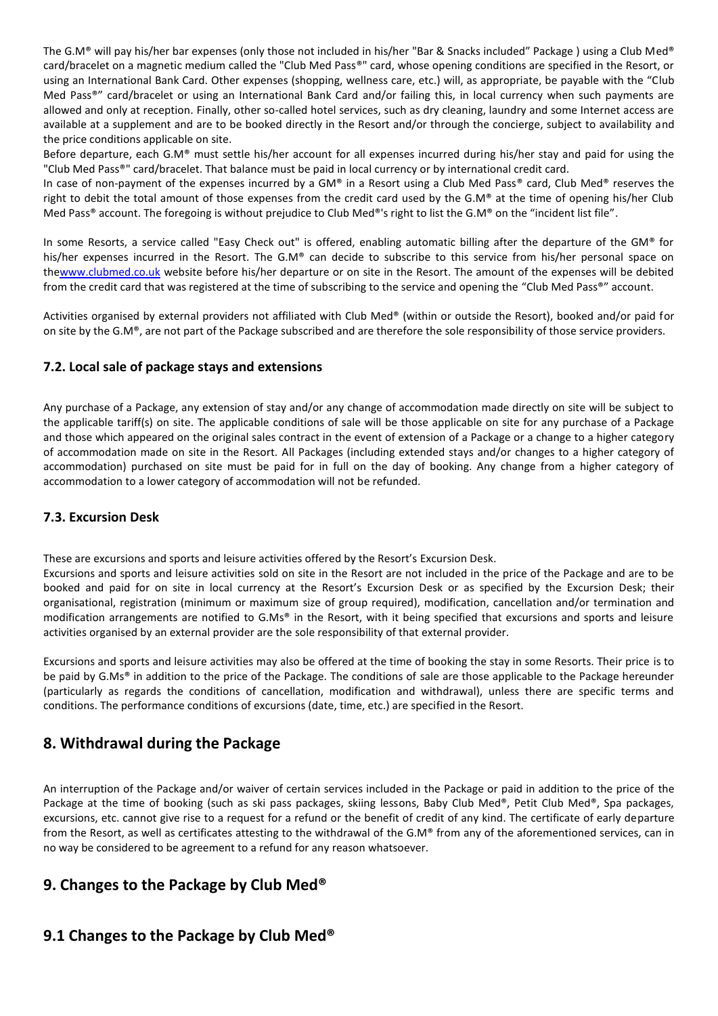The G.M® will pay his/her bar expenses (only those not included in his/her "Bar & Snacks included" Package ) using a Club Med® card/bracelet on a magnetic medium called the "Club Med Pass®" card, whose opening conditions are specified in the Resort, or using an International Bank Card. Other expenses (shopping, wellness care, etc.) will, as appropriate, be payable with the "Club Med Pass®" card/bracelet or using an International Bank Card and/or failing this, in local currency when such payments are allowed and only at reception. Finally, other so-called hotel services, such as dry cleaning, laundry and some Internet access are available at a supplement and are to be booked directly in the Resort and/or through the concierge, subject to availability and the price conditions applicable on site.

Before departure, each G.M® must settle his/her account for all expenses incurred during his/her stay and paid for using the "Club Med Pass®" card/bracelet. That balance must be paid in local currency or by international credit card.

In case of non-payment of the expenses incurred by a GM® in a Resort using a Club Med Pass® card, Club Med® reserves the right to debit the total amount of those expenses from the credit card used by the G.M® at the time of opening his/her Club Med Pass® account. The foregoing is without prejudice to Club Med®'s right to list the G.M® on the "incident list file".

In some Resorts, a service called "Easy Check out" is offered, enabling automatic billing after the departure of the GM® for his/her expenses incurred in the Resort. The G.M® can decide to subscribe to this service from his/her personal space on th[ewww.clubmed.co.uk](http://www.clubmed.co.uk/) website before his/her departure or on site in the Resort. The amount of the expenses will be debited from the credit card that was registered at the time of subscribing to the service and opening the "Club Med Pass®" account.

Activities organised by external providers not affiliated with Club Med® (within or outside the Resort), booked and/or paid for on site by the  $G.M^{\circ}$ , are not part of the Package subscribed and are therefore the sole responsibility of those service providers.

#### **7.2. Local sale of package stays and extensions**

Any purchase of a Package, any extension of stay and/or any change of accommodation made directly on site will be subject to the applicable tariff(s) on site. The applicable conditions of sale will be those applicable on site for any purchase of a Package and those which appeared on the original sales contract in the event of extension of a Package or a change to a higher category of accommodation made on site in the Resort. All Packages (including extended stays and/or changes to a higher category of accommodation) purchased on site must be paid for in full on the day of booking. Any change from a higher category of accommodation to a lower category of accommodation will not be refunded.

#### **7.3. Excursion Desk**

These are excursions and sports and leisure activities offered by the Resort's Excursion Desk.

Excursions and sports and leisure activities sold on site in the Resort are not included in the price of the Package and are to be booked and paid for on site in local currency at the Resort's Excursion Desk or as specified by the Excursion Desk; their organisational, registration (minimum or maximum size of group required), modification, cancellation and/or termination and modification arrangements are notified to G.Ms® in the Resort, with it being specified that excursions and sports and leisure activities organised by an external provider are the sole responsibility of that external provider.

Excursions and sports and leisure activities may also be offered at the time of booking the stay in some Resorts. Their price is to be paid by G.Ms® in addition to the price of the Package. The conditions of sale are those applicable to the Package hereunder (particularly as regards the conditions of cancellation, modification and withdrawal), unless there are specific terms and conditions. The performance conditions of excursions (date, time, etc.) are specified in the Resort.

## **8. Withdrawal during the Package**

An interruption of the Package and/or waiver of certain services included in the Package or paid in addition to the price of the Package at the time of booking (such as ski pass packages, skiing lessons, Baby Club Med®, Petit Club Med®, Spa packages, excursions, etc. cannot give rise to a request for a refund or the benefit of credit of any kind. The certificate of early departure from the Resort, as well as certificates attesting to the withdrawal of the G.M® from any of the aforementioned services, can in no way be considered to be agreement to a refund for any reason whatsoever.

## **9. Changes to the Package by Club Med®**

## **9.1 Changes to the Package by Club Med®**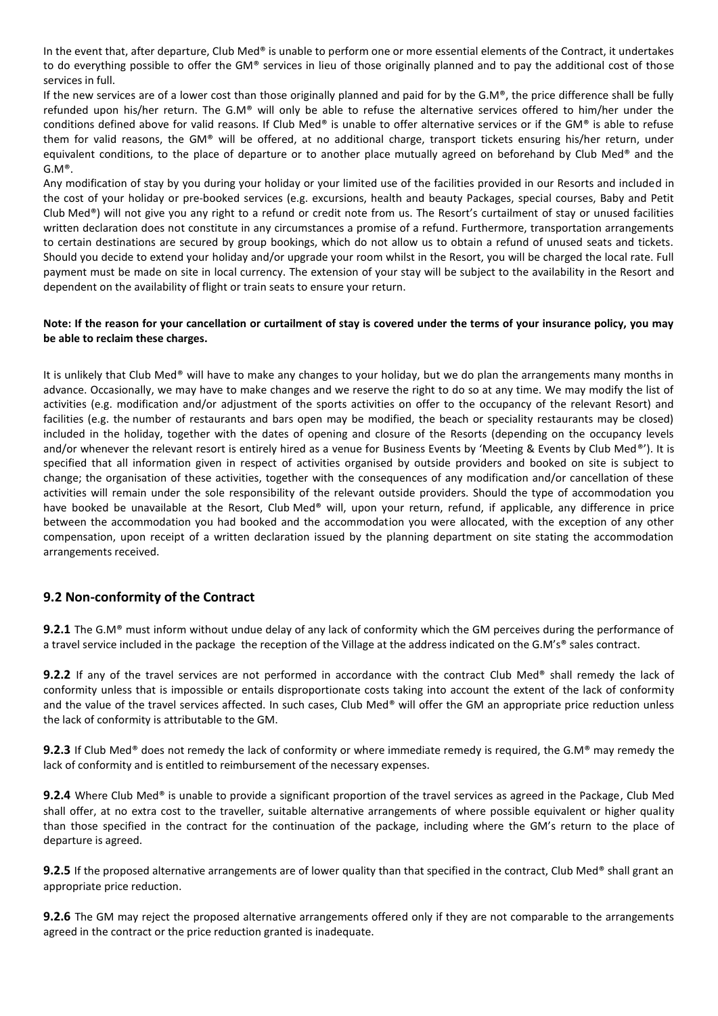In the event that, after departure, Club Med® is unable to perform one or more essential elements of the Contract, it undertakes to do everything possible to offer the GM® services in lieu of those originally planned and to pay the additional cost of those services in full.

If the new services are of a lower cost than those originally planned and paid for by the  $GM^{\circ}$ , the price difference shall be fully refunded upon his/her return. The G.M® will only be able to refuse the alternative services offered to him/her under the conditions defined above for valid reasons. If Club Med® is unable to offer alternative services or if the GM® is able to refuse them for valid reasons, the GM® will be offered, at no additional charge, transport tickets ensuring his/her return, under equivalent conditions, to the place of departure or to another place mutually agreed on beforehand by Club Med® and the G.M®.

Any modification of stay by you during your holiday or your limited use of the facilities provided in our Resorts and included in the cost of your holiday or pre-booked services (e.g. excursions, health and beauty Packages, special courses, Baby and Petit Club Med®) will not give you any right to a refund or credit note from us. The Resort's curtailment of stay or unused facilities written declaration does not constitute in any circumstances a promise of a refund. Furthermore, transportation arrangements to certain destinations are secured by group bookings, which do not allow us to obtain a refund of unused seats and tickets. Should you decide to extend your holiday and/or upgrade your room whilst in the Resort, you will be charged the local rate. Full payment must be made on site in local currency. The extension of your stay will be subject to the availability in the Resort and dependent on the availability of flight or train seats to ensure your return.

#### **Note: If the reason for your cancellation or curtailment of stay is covered under the terms of your insurance policy, you may be able to reclaim these charges.**

It is unlikely that Club Med® will have to make any changes to your holiday, but we do plan the arrangements many months in advance. Occasionally, we may have to make changes and we reserve the right to do so at any time. We may modify the list of activities (e.g. modification and/or adjustment of the sports activities on offer to the occupancy of the relevant Resort) and facilities (e.g. the number of restaurants and bars open may be modified, the beach or speciality restaurants may be closed) included in the holiday, together with the dates of opening and closure of the Resorts (depending on the occupancy levels and/or whenever the relevant resort is entirely hired as a venue for Business Events by 'Meeting & Events by Club Med®'). It is specified that all information given in respect of activities organised by outside providers and booked on site is subject to change; the organisation of these activities, together with the consequences of any modification and/or cancellation of these activities will remain under the sole responsibility of the relevant outside providers. Should the type of accommodation you have booked be unavailable at the Resort, Club Med® will, upon your return, refund, if applicable, any difference in price between the accommodation you had booked and the accommodation you were allocated, with the exception of any other compensation, upon receipt of a written declaration issued by the planning department on site stating the accommodation arrangements received.

#### **9.2 Non-conformity of the Contract**

**9.2.1** The G.M® must inform without undue delay of any lack of conformity which the GM perceives during the performance of a travel service included in the package the reception of the Village at the address indicated on the G.M's® sales contract.

**9.2.2** If any of the travel services are not performed in accordance with the contract Club Med® shall remedy the lack of conformity unless that is impossible or entails disproportionate costs taking into account the extent of the lack of conformity and the value of the travel services affected. In such cases, Club Med® will offer the GM an appropriate price reduction unless the lack of conformity is attributable to the GM.

**9.2.3** If Club Med® does not remedy the lack of conformity or where immediate remedy is required, the G.M® may remedy the lack of conformity and is entitled to reimbursement of the necessary expenses.

**9.2.4** Where Club Med® is unable to provide a significant proportion of the travel services as agreed in the Package, Club Med shall offer, at no extra cost to the traveller, suitable alternative arrangements of where possible equivalent or higher quality than those specified in the contract for the continuation of the package, including where the GM's return to the place of departure is agreed.

**9.2.5** If the proposed alternative arrangements are of lower quality than that specified in the contract, Club Med® shall grant an appropriate price reduction.

**9.2.6** The GM may reject the proposed alternative arrangements offered only if they are not comparable to the arrangements agreed in the contract or the price reduction granted is inadequate.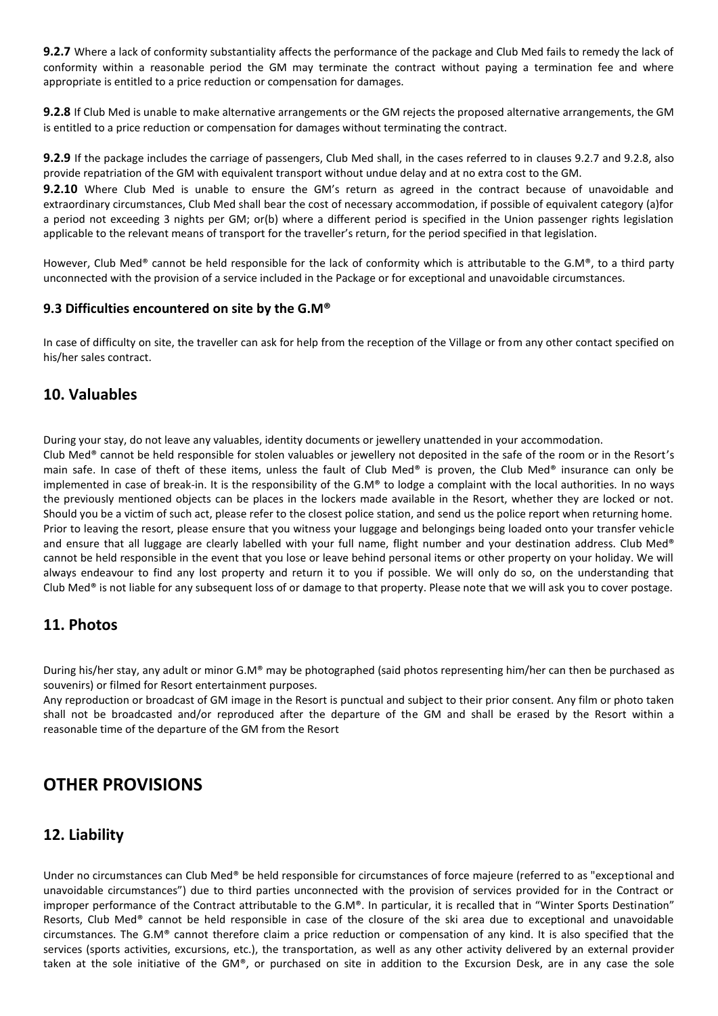**9.2.7** Where a lack of conformity substantiality affects the performance of the package and Club Med fails to remedy the lack of conformity within a reasonable period the GM may terminate the contract without paying a termination fee and where appropriate is entitled to a price reduction or compensation for damages.

**9.2.8** If Club Med is unable to make alternative arrangements or the GM rejects the proposed alternative arrangements, the GM is entitled to a price reduction or compensation for damages without terminating the contract.

**9.2.9** If the package includes the carriage of passengers, Club Med shall, in the cases referred to in clauses 9.2.7 and 9.2.8, also provide repatriation of the GM with equivalent transport without undue delay and at no extra cost to the GM.

**9.2.10** Where Club Med is unable to ensure the GM's return as agreed in the contract because of unavoidable and extraordinary circumstances, Club Med shall bear the cost of necessary accommodation, if possible of equivalent category (a)for a period not exceeding 3 nights per GM; or(b) where a different period is specified in the Union passenger rights legislation applicable to the relevant means of transport for the traveller's return, for the period specified in that legislation.

However, Club Med® cannot be held responsible for the lack of conformity which is attributable to the G.M®, to a third party unconnected with the provision of a service included in the Package or for exceptional and unavoidable circumstances.

#### **9.3 Difficulties encountered on site by the G.M®**

In case of difficulty on site, the traveller can ask for help from the reception of the Village or from any other contact specified on his/her sales contract.

### **10. Valuables**

During your stay, do not leave any valuables, identity documents or jewellery unattended in your accommodation.

Club Med® cannot be held responsible for stolen valuables or jewellery not deposited in the safe of the room or in the Resort's main safe. In case of theft of these items, unless the fault of Club Med® is proven, the Club Med® insurance can only be implemented in case of break-in. It is the responsibility of the G.M® to lodge a complaint with the local authorities. In no ways the previously mentioned objects can be places in the lockers made available in the Resort, whether they are locked or not. Should you be a victim of such act, please refer to the closest police station, and send us the police report when returning home. Prior to leaving the resort, please ensure that you witness your luggage and belongings being loaded onto your transfer vehicle and ensure that all luggage are clearly labelled with your full name, flight number and your destination address. Club Med® cannot be held responsible in the event that you lose or leave behind personal items or other property on your holiday. We will always endeavour to find any lost property and return it to you if possible. We will only do so, on the understanding that Club Med® is not liable for any subsequent loss of or damage to that property. Please note that we will ask you to cover postage.

## **11. Photos**

During his/her stay, any adult or minor G.M® may be photographed (said photos representing him/her can then be purchased as souvenirs) or filmed for Resort entertainment purposes.

Any reproduction or broadcast of GM image in the Resort is punctual and subject to their prior consent. Any film or photo taken shall not be broadcasted and/or reproduced after the departure of the GM and shall be erased by the Resort within a reasonable time of the departure of the GM from the Resort

## **OTHER PROVISIONS**

## **12. Liability**

Under no circumstances can Club Med® be held responsible for circumstances of force majeure (referred to as "exceptional and unavoidable circumstances") due to third parties unconnected with the provision of services provided for in the Contract or improper performance of the Contract attributable to the G.M®. In particular, it is recalled that in "Winter Sports Destination" Resorts, Club Med® cannot be held responsible in case of the closure of the ski area due to exceptional and unavoidable circumstances. The G.M® cannot therefore claim a price reduction or compensation of any kind. It is also specified that the services (sports activities, excursions, etc.), the transportation, as well as any other activity delivered by an external provider taken at the sole initiative of the GM®, or purchased on site in addition to the Excursion Desk, are in any case the sole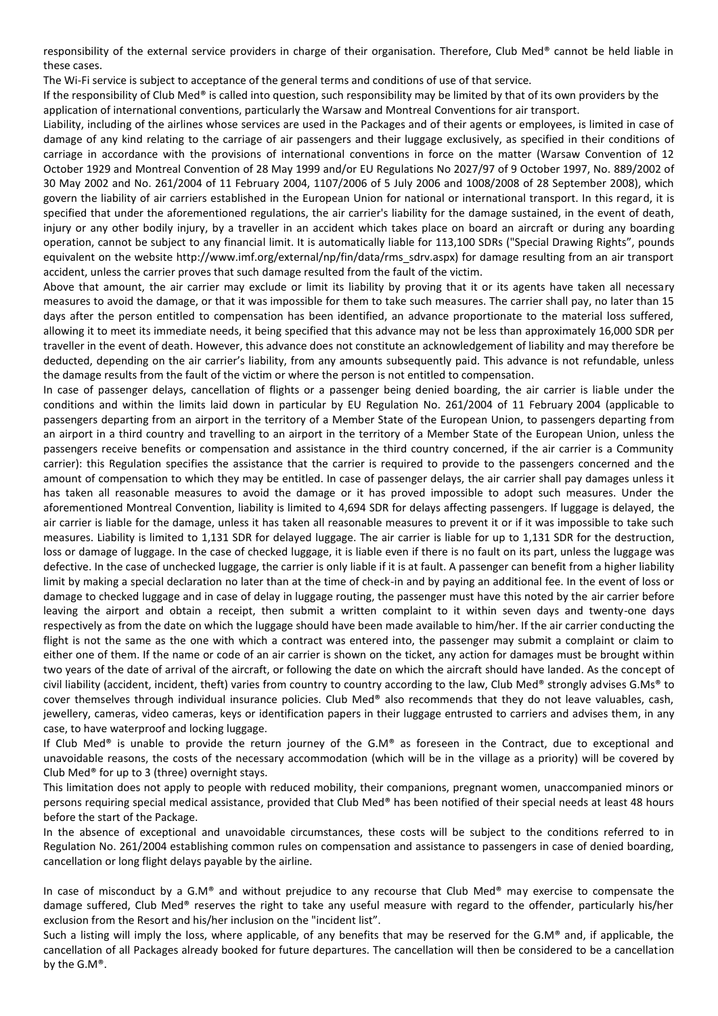responsibility of the external service providers in charge of their organisation. Therefore, Club Med® cannot be held liable in these cases.

The Wi-Fi service is subject to acceptance of the general terms and conditions of use of that service.

If the responsibility of Club Med® is called into question, such responsibility may be limited by that of its own providers by the application of international conventions, particularly the Warsaw and Montreal Conventions for air transport.

Liability, including of the airlines whose services are used in the Packages and of their agents or employees, is limited in case of damage of any kind relating to the carriage of air passengers and their luggage exclusively, as specified in their conditions of carriage in accordance with the provisions of international conventions in force on the matter (Warsaw Convention of 12 October 1929 and Montreal Convention of 28 May 1999 and/or EU Regulations No 2027/97 of 9 October 1997, No. 889/2002 of 30 May 2002 and No. 261/2004 of 11 February 2004, 1107/2006 of 5 July 2006 and 1008/2008 of 28 September 2008), which govern the liability of air carriers established in the European Union for national or international transport. In this regard, it is specified that under the aforementioned regulations, the air carrier's liability for the damage sustained, in the event of death, injury or any other bodily injury, by a traveller in an accident which takes place on board an aircraft or during any boarding operation, cannot be subject to any financial limit. It is automatically liable for 113,100 SDRs ("Special Drawing Rights", pounds equivalent on the website http://www.imf.org/external/np/fin/data/rms\_sdrv.aspx) for damage resulting from an air transport accident, unless the carrier proves that such damage resulted from the fault of the victim.

Above that amount, the air carrier may exclude or limit its liability by proving that it or its agents have taken all necessary measures to avoid the damage, or that it was impossible for them to take such measures. The carrier shall pay, no later than 15 days after the person entitled to compensation has been identified, an advance proportionate to the material loss suffered, allowing it to meet its immediate needs, it being specified that this advance may not be less than approximately 16,000 SDR per traveller in the event of death. However, this advance does not constitute an acknowledgement of liability and may therefore be deducted, depending on the air carrier's liability, from any amounts subsequently paid. This advance is not refundable, unless the damage results from the fault of the victim or where the person is not entitled to compensation.

In case of passenger delays, cancellation of flights or a passenger being denied boarding, the air carrier is liable under the conditions and within the limits laid down in particular by EU Regulation No. 261/2004 of 11 February 2004 (applicable to passengers departing from an airport in the territory of a Member State of the European Union, to passengers departing from an airport in a third country and travelling to an airport in the territory of a Member State of the European Union, unless the passengers receive benefits or compensation and assistance in the third country concerned, if the air carrier is a Community carrier): this Regulation specifies the assistance that the carrier is required to provide to the passengers concerned and the amount of compensation to which they may be entitled. In case of passenger delays, the air carrier shall pay damages unless it has taken all reasonable measures to avoid the damage or it has proved impossible to adopt such measures. Under the aforementioned Montreal Convention, liability is limited to 4,694 SDR for delays affecting passengers. If luggage is delayed, the air carrier is liable for the damage, unless it has taken all reasonable measures to prevent it or if it was impossible to take such measures. Liability is limited to 1,131 SDR for delayed luggage. The air carrier is liable for up to 1,131 SDR for the destruction, loss or damage of luggage. In the case of checked luggage, it is liable even if there is no fault on its part, unless the luggage was defective. In the case of unchecked luggage, the carrier is only liable if it is at fault. A passenger can benefit from a higher liability limit by making a special declaration no later than at the time of check-in and by paying an additional fee. In the event of loss or damage to checked luggage and in case of delay in luggage routing, the passenger must have this noted by the air carrier before leaving the airport and obtain a receipt, then submit a written complaint to it within seven days and twenty-one days respectively as from the date on which the luggage should have been made available to him/her. If the air carrier conducting the flight is not the same as the one with which a contract was entered into, the passenger may submit a complaint or claim to either one of them. If the name or code of an air carrier is shown on the ticket, any action for damages must be brought within two years of the date of arrival of the aircraft, or following the date on which the aircraft should have landed. As the concept of civil liability (accident, incident, theft) varies from country to country according to the law, Club Med® strongly advises G.Ms® to cover themselves through individual insurance policies. Club Med® also recommends that they do not leave valuables, cash, jewellery, cameras, video cameras, keys or identification papers in their luggage entrusted to carriers and advises them, in any case, to have waterproof and locking luggage.

If Club Med® is unable to provide the return journey of the G.M® as foreseen in the Contract, due to exceptional and unavoidable reasons, the costs of the necessary accommodation (which will be in the village as a priority) will be covered by Club Med® for up to 3 (three) overnight stays.

This limitation does not apply to people with reduced mobility, their companions, pregnant women, unaccompanied minors or persons requiring special medical assistance, provided that Club Med® has been notified of their special needs at least 48 hours before the start of the Package.

In the absence of exceptional and unavoidable circumstances, these costs will be subject to the conditions referred to in Regulation No. 261/2004 establishing common rules on compensation and assistance to passengers in case of denied boarding, cancellation or long flight delays payable by the airline.

In case of misconduct by a G.M® and without prejudice to any recourse that Club Med® may exercise to compensate the damage suffered, Club Med® reserves the right to take any useful measure with regard to the offender, particularly his/her exclusion from the Resort and his/her inclusion on the "incident list".

Such a listing will imply the loss, where applicable, of any benefits that may be reserved for the G.M® and, if applicable, the cancellation of all Packages already booked for future departures. The cancellation will then be considered to be a cancellation by the G.M®.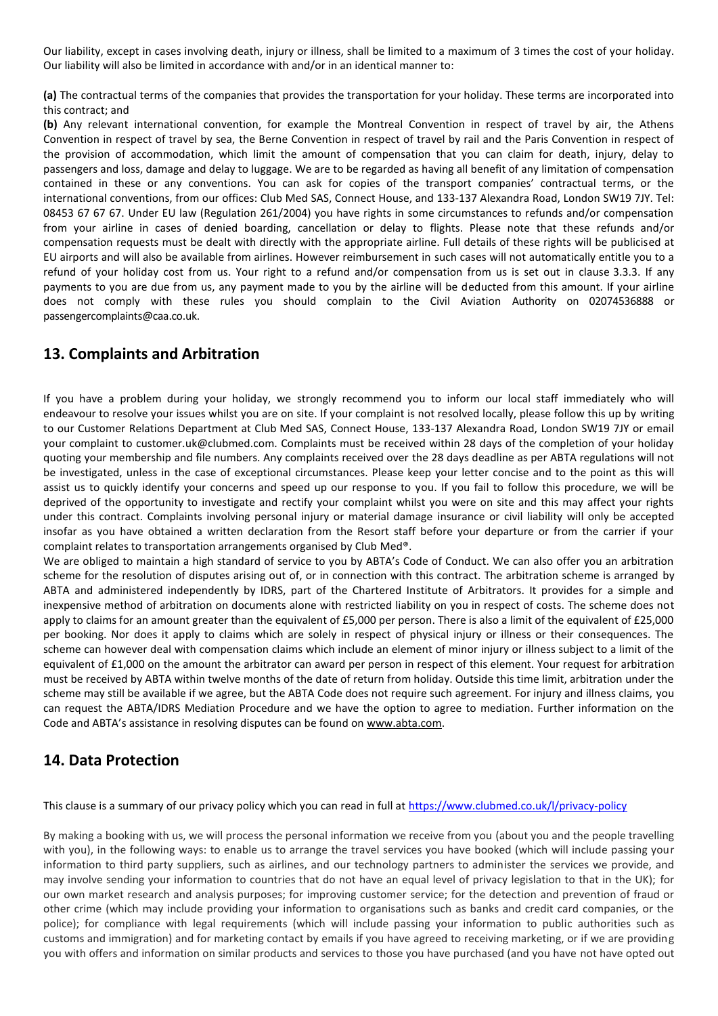Our liability, except in cases involving death, injury or illness, shall be limited to a maximum of 3 times the cost of your holiday. Our liability will also be limited in accordance with and/or in an identical manner to:

**(a)** The contractual terms of the companies that provides the transportation for your holiday. These terms are incorporated into this contract; and

**(b)** Any relevant international convention, for example the Montreal Convention in respect of travel by air, the Athens Convention in respect of travel by sea, the Berne Convention in respect of travel by rail and the Paris Convention in respect of the provision of accommodation, which limit the amount of compensation that you can claim for death, injury, delay to passengers and loss, damage and delay to luggage. We are to be regarded as having all benefit of any limitation of compensation contained in these or any conventions. You can ask for copies of the transport companies' contractual terms, or the international conventions, from our offices: Club Med SAS, Connect House, and 133-137 Alexandra Road, London SW19 7JY. Tel: 08453 67 67 67. Under EU law (Regulation 261/2004) you have rights in some circumstances to refunds and/or compensation from your airline in cases of denied boarding, cancellation or delay to flights. Please note that these refunds and/or compensation requests must be dealt with directly with the appropriate airline. Full details of these rights will be publicised at EU airports and will also be available from airlines. However reimbursement in such cases will not automatically entitle you to a refund of your holiday cost from us. Your right to a refund and/or compensation from us is set out in clause 3.3.3. If any payments to you are due from us, any payment made to you by the airline will be deducted from this amount. If your airline does not comply with these rules you should complain to the Civil Aviation Authority on 02074536888 or passengercomplaints@caa.co.uk.

## **13. Complaints and Arbitration**

If you have a problem during your holiday, we strongly recommend you to inform our local staff immediately who will endeavour to resolve your issues whilst you are on site. If your complaint is not resolved locally, please follow this up by writing to our Customer Relations Department at Club Med SAS, Connect House, 133-137 Alexandra Road, London SW19 7JY or email your complaint to customer.uk@clubmed.com. Complaints must be received within 28 days of the completion of your holiday quoting your membership and file numbers. Any complaints received over the 28 days deadline as per ABTA regulations will not be investigated, unless in the case of exceptional circumstances. Please keep your letter concise and to the point as this will assist us to quickly identify your concerns and speed up our response to you. If you fail to follow this procedure, we will be deprived of the opportunity to investigate and rectify your complaint whilst you were on site and this may affect your rights under this contract. Complaints involving personal injury or material damage insurance or civil liability will only be accepted insofar as you have obtained a written declaration from the Resort staff before your departure or from the carrier if your complaint relates to transportation arrangements organised by Club Med®.

We are obliged to maintain a high standard of service to you by ABTA's Code of Conduct. We can also offer you an arbitration scheme for the resolution of disputes arising out of, or in connection with this contract. The arbitration scheme is arranged by ABTA and administered independently by IDRS, part of the Chartered Institute of Arbitrators. It provides for a simple and inexpensive method of arbitration on documents alone with restricted liability on you in respect of costs. The scheme does not apply to claims for an amount greater than the equivalent of £5,000 per person. There is also a limit of the equivalent of £25,000 per booking. Nor does it apply to claims which are solely in respect of physical injury or illness or their consequences. The scheme can however deal with compensation claims which include an element of minor injury or illness subject to a limit of the equivalent of £1,000 on the amount the arbitrator can award per person in respect of this element. Your request for arbitration must be received by ABTA within twelve months of the date of return from holiday. Outside this time limit, arbitration under the scheme may still be available if we agree, but the ABTA Code does not require such agreement. For injury and illness claims, you can request the ABTA/IDRS Mediation Procedure and we have the option to agree to mediation. Further information on the Code and ABTA's assistance in resolving disputes can be found on [www.abta.com.](http://www.abta.com/)

## **14. Data Protection**

This clause is a summary of our privacy policy which you can read in full at<https://www.clubmed.co.uk/l/privacy-policy>

By making a booking with us, we will process the personal information we receive from you (about you and the people travelling with you), in the following ways: to enable us to arrange the travel services you have booked (which will include passing your information to third party suppliers, such as airlines, and our technology partners to administer the services we provide, and may involve sending your information to countries that do not have an equal level of privacy legislation to that in the UK); for our own market research and analysis purposes; for improving customer service; for the detection and prevention of fraud or other crime (which may include providing your information to organisations such as banks and credit card companies, or the police); for compliance with legal requirements (which will include passing your information to public authorities such as customs and immigration) and for marketing contact by emails if you have agreed to receiving marketing, or if we are providing you with offers and information on similar products and services to those you have purchased (and you have not have opted out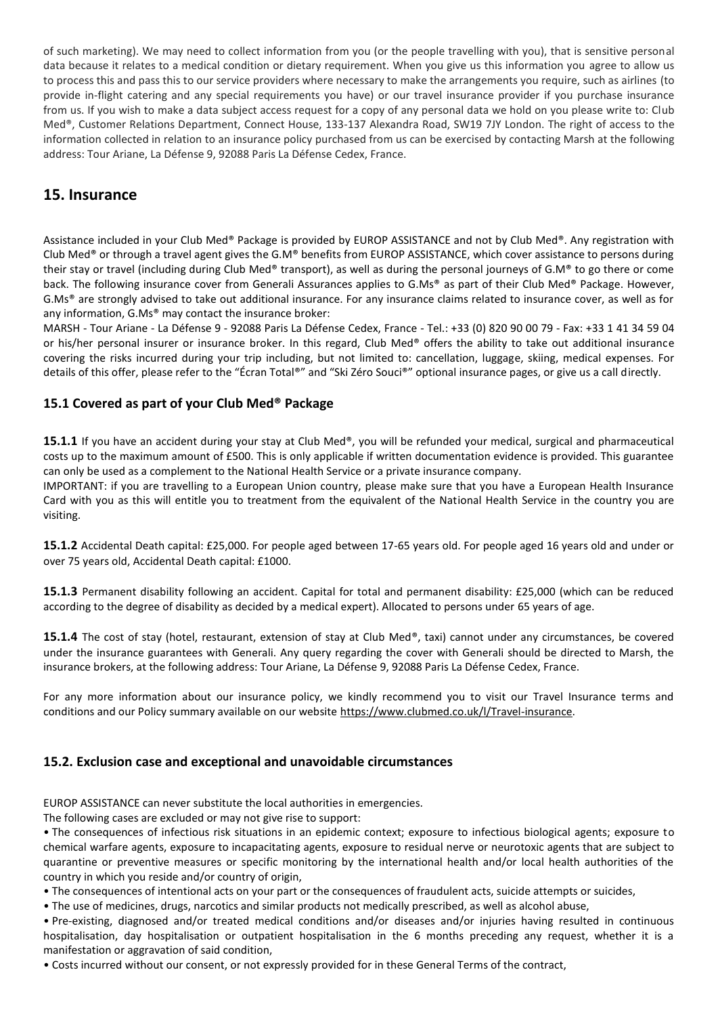of such marketing). We may need to collect information from you (or the people travelling with you), that is sensitive personal data because it relates to a medical condition or dietary requirement. When you give us this information you agree to allow us to process this and pass this to our service providers where necessary to make the arrangements you require, such as airlines (to provide in-flight catering and any special requirements you have) or our travel insurance provider if you purchase insurance from us. If you wish to make a data subject access request for a copy of any personal data we hold on you please write to: Club Med®, Customer Relations Department, Connect House, 133-137 Alexandra Road, SW19 7JY London. The right of access to the information collected in relation to an insurance policy purchased from us can be exercised by contacting Marsh at the following address: Tour Ariane, La Défense 9, 92088 Paris La Défense Cedex, France.

## **15. Insurance**

Assistance included in your Club Med® Package is provided by EUROP ASSISTANCE and not by Club Med®. Any registration with Club Med® or through a travel agent gives the G.M® benefits from EUROP ASSISTANCE, which cover assistance to persons during their stay or travel (including during Club Med® transport), as well as during the personal journeys of G.M® to go there or come back. The following insurance cover from Generali Assurances applies to G.Ms® as part of their Club Med® Package. However, G.Ms® are strongly advised to take out additional insurance. For any insurance claims related to insurance cover, as well as for any information, G.Ms® may contact the insurance broker:

MARSH - Tour Ariane - La Défense 9 - 92088 Paris La Défense Cedex, France - Tel.: +33 (0) 820 90 00 79 - Fax: +33 1 41 34 59 04 or his/her personal insurer or insurance broker. In this regard, Club Med® offers the ability to take out additional insurance covering the risks incurred during your trip including, but not limited to: cancellation, luggage, skiing, medical expenses. For details of this offer, please refer to the "Écran Total®" and "Ski Zéro Souci®" optional insurance pages, or give us a call directly.

### **15.1 Covered as part of your Club Med® Package**

**15.1.1** If you have an accident during your stay at Club Med®, you will be refunded your medical, surgical and pharmaceutical costs up to the maximum amount of £500. This is only applicable if written documentation evidence is provided. This guarantee can only be used as a complement to the National Health Service or a private insurance company.

IMPORTANT: if you are travelling to a European Union country, please make sure that you have a European Health Insurance Card with you as this will entitle you to treatment from the equivalent of the National Health Service in the country you are visiting.

**15.1.2** Accidental Death capital: £25,000. For people aged between 17-65 years old. For people aged 16 years old and under or over 75 years old, Accidental Death capital: £1000.

**15.1.3** Permanent disability following an accident. Capital for total and permanent disability: £25,000 (which can be reduced according to the degree of disability as decided by a medical expert). Allocated to persons under 65 years of age.

**15.1.4** The cost of stay (hotel, restaurant, extension of stay at Club Med®, taxi) cannot under any circumstances, be covered under the insurance guarantees with Generali. Any query regarding the cover with Generali should be directed to Marsh, the insurance brokers, at the following address: Tour Ariane, La Défense 9, 92088 Paris La Défense Cedex, France.

For any more information about our insurance policy, we kindly recommend you to visit our Travel Insurance terms and conditions and our Policy summary available on our website [https://www.clubmed.co.uk/l/Travel-insurance.](https://www.clubmed.co.uk/l/Travel-insurance)

#### **15.2. Exclusion case and exceptional and unavoidable circumstances**

EUROP ASSISTANCE can never substitute the local authorities in emergencies.

The following cases are excluded or may not give rise to support:

• The consequences of infectious risk situations in an epidemic context; exposure to infectious biological agents; exposure to chemical warfare agents, exposure to incapacitating agents, exposure to residual nerve or neurotoxic agents that are subject to quarantine or preventive measures or specific monitoring by the international health and/or local health authorities of the country in which you reside and/or country of origin,

- • The consequences of intentional acts on your part or the consequences of fraudulent acts, suicide attempts or suicides,
- • The use of medicines, drugs, narcotics and similar products not medically prescribed, as well as alcohol abuse,

• Pre-existing, diagnosed and/or treated medical conditions and/or diseases and/or injuries having resulted in continuous hospitalisation, day hospitalisation or outpatient hospitalisation in the 6 months preceding any request, whether it is a manifestation or aggravation of said condition,

• Costs incurred without our consent, or not expressly provided for in these General Terms of the contract,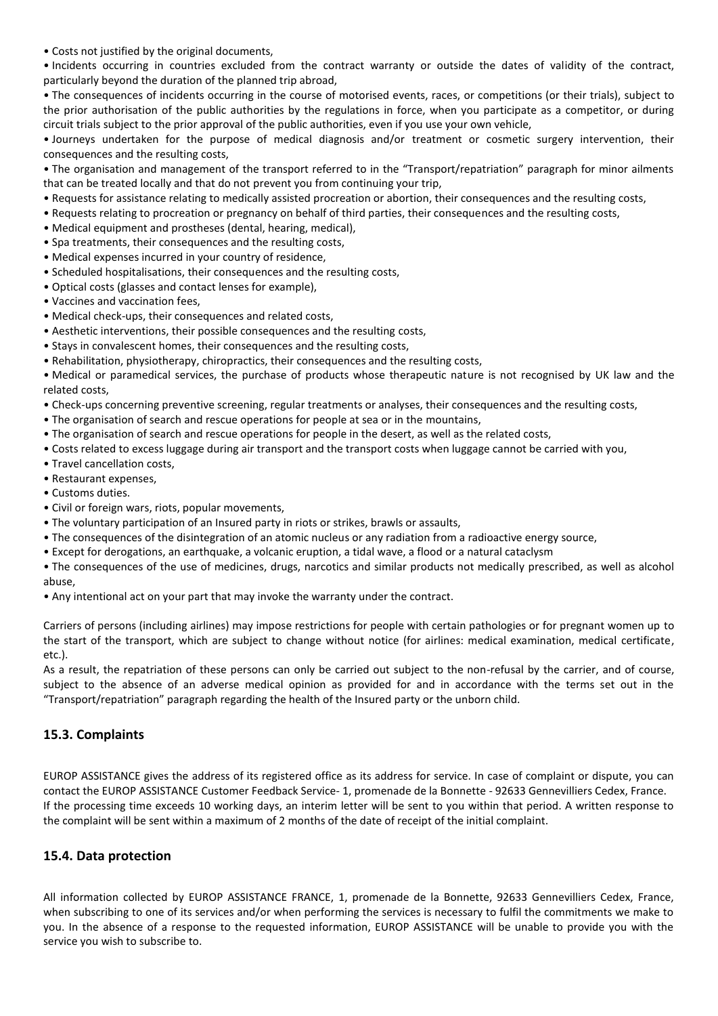• Costs not justified by the original documents,

• Incidents occurring in countries excluded from the contract warranty or outside the dates of validity of the contract, particularly beyond the duration of the planned trip abroad,

• The consequences of incidents occurring in the course of motorised events, races, or competitions (or their trials), subject to the prior authorisation of the public authorities by the regulations in force, when you participate as a competitor, or during circuit trials subject to the prior approval of the public authorities, even if you use your own vehicle,

• Journeys undertaken for the purpose of medical diagnosis and/or treatment or cosmetic surgery intervention, their consequences and the resulting costs,

• The organisation and management of the transport referred to in the "Transport/repatriation" paragraph for minor ailments that can be treated locally and that do not prevent you from continuing your trip,

- • Requests for assistance relating to medically assisted procreation or abortion, their consequences and the resulting costs,
- • Requests relating to procreation or pregnancy on behalf of third parties, their consequences and the resulting costs,
- • Medical equipment and prostheses (dental, hearing, medical),
- • Spa treatments, their consequences and the resulting costs,
- • Medical expenses incurred in your country of residence,
- • Scheduled hospitalisations, their consequences and the resulting costs,
- • Optical costs (glasses and contact lenses for example),
- • Vaccines and vaccination fees,
- • Medical check-ups, their consequences and related costs,
- • Aesthetic interventions, their possible consequences and the resulting costs,
- • Stays in convalescent homes, their consequences and the resulting costs,
- • Rehabilitation, physiotherapy, chiropractics, their consequences and the resulting costs,

• Medical or paramedical services, the purchase of products whose therapeutic nature is not recognised by UK law and the related costs,

- • Check-ups concerning preventive screening, regular treatments or analyses, their consequences and the resulting costs,
- • The organisation of search and rescue operations for people at sea or in the mountains,
- • The organisation of search and rescue operations for people in the desert, as well as the related costs,
- • Costs related to excess luggage during air transport and the transport costs when luggage cannot be carried with you,
- • Travel cancellation costs,
- • Restaurant expenses,
- • Customs duties.
- • Civil or foreign wars, riots, popular movements,
- • The voluntary participation of an Insured party in riots or strikes, brawls or assaults,
- • The consequences of the disintegration of an atomic nucleus or any radiation from a radioactive energy source,
- • Except for derogations, an earthquake, a volcanic eruption, a tidal wave, a flood or a natural cataclysm

• The consequences of the use of medicines, drugs, narcotics and similar products not medically prescribed, as well as alcohol abuse,

• Any intentional act on your part that may invoke the warranty under the contract.

Carriers of persons (including airlines) may impose restrictions for people with certain pathologies or for pregnant women up to the start of the transport, which are subject to change without notice (for airlines: medical examination, medical certificate, etc.).

As a result, the repatriation of these persons can only be carried out subject to the non-refusal by the carrier, and of course, subject to the absence of an adverse medical opinion as provided for and in accordance with the terms set out in the "Transport/repatriation" paragraph regarding the health of the Insured party or the unborn child.

#### **15.3. Complaints**

EUROP ASSISTANCE gives the address of its registered office as its address for service. In case of complaint or dispute, you can contact the EUROP ASSISTANCE Customer Feedback Service- 1, promenade de la Bonnette - 92633 Gennevilliers Cedex, France. If the processing time exceeds 10 working days, an interim letter will be sent to you within that period. A written response to the complaint will be sent within a maximum of 2 months of the date of receipt of the initial complaint.

#### **15.4. Data protection**

All information collected by EUROP ASSISTANCE FRANCE, 1, promenade de la Bonnette, 92633 Gennevilliers Cedex, France, when subscribing to one of its services and/or when performing the services is necessary to fulfil the commitments we make to you. In the absence of a response to the requested information, EUROP ASSISTANCE will be unable to provide you with the service you wish to subscribe to.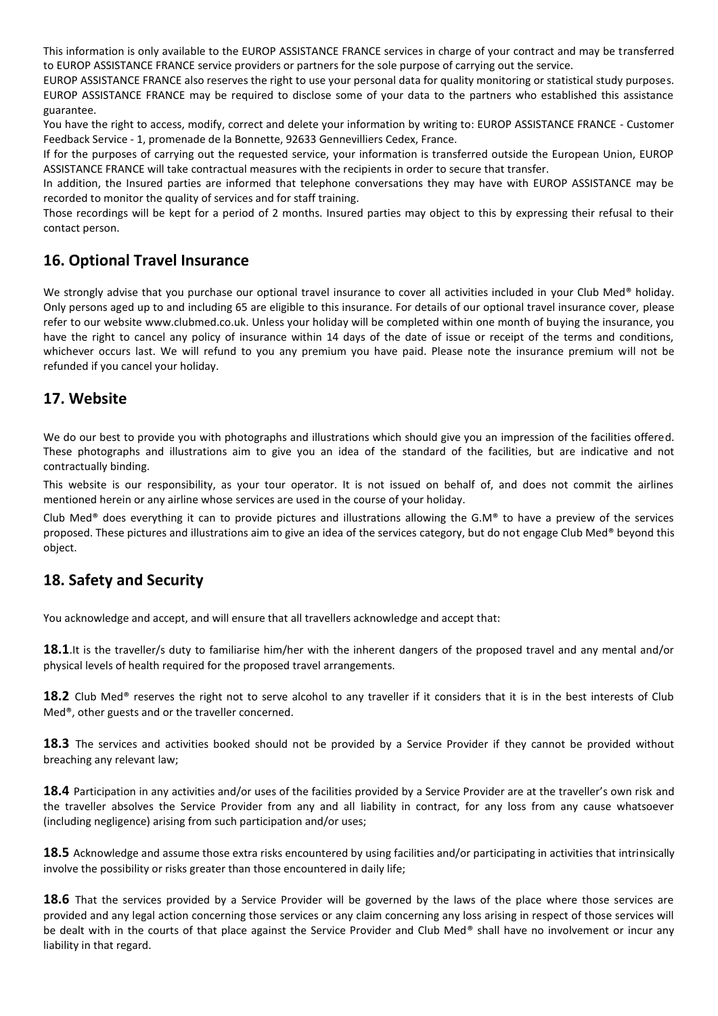This information is only available to the EUROP ASSISTANCE FRANCE services in charge of your contract and may be transferred to EUROP ASSISTANCE FRANCE service providers or partners for the sole purpose of carrying out the service.

EUROP ASSISTANCE FRANCE also reserves the right to use your personal data for quality monitoring or statistical study purposes. EUROP ASSISTANCE FRANCE may be required to disclose some of your data to the partners who established this assistance guarantee.

You have the right to access, modify, correct and delete your information by writing to: EUROP ASSISTANCE FRANCE - Customer Feedback Service - 1, promenade de la Bonnette, 92633 Gennevilliers Cedex, France.

If for the purposes of carrying out the requested service, your information is transferred outside the European Union, EUROP ASSISTANCE FRANCE will take contractual measures with the recipients in order to secure that transfer.

In addition, the Insured parties are informed that telephone conversations they may have with EUROP ASSISTANCE may be recorded to monitor the quality of services and for staff training.

Those recordings will be kept for a period of 2 months. Insured parties may object to this by expressing their refusal to their contact person.

## **16. Optional Travel Insurance**

We strongly advise that you purchase our optional travel insurance to cover all activities included in your Club Med® holiday. Only persons aged up to and including 65 are eligible to this insurance. For details of our optional travel insurance cover, please refer to our website www.clubmed.co.uk. Unless your holiday will be completed within one month of buying the insurance, you have the right to cancel any policy of insurance within 14 days of the date of issue or receipt of the terms and conditions, whichever occurs last. We will refund to you any premium you have paid. Please note the insurance premium will not be refunded if you cancel your holiday.

## **17. Website**

We do our best to provide you with photographs and illustrations which should give you an impression of the facilities offered. These photographs and illustrations aim to give you an idea of the standard of the facilities, but are indicative and not contractually binding.

This website is our responsibility, as your tour operator. It is not issued on behalf of, and does not commit the airlines mentioned herein or any airline whose services are used in the course of your holiday.

Club Med® does everything it can to provide pictures and illustrations allowing the  $GM^{\circ}$  to have a preview of the services proposed. These pictures and illustrations aim to give an idea of the services category, but do not engage Club Med® beyond this object.

## **18. Safety and Security**

You acknowledge and accept, and will ensure that all travellers acknowledge and accept that:

**18.1**.It is the traveller/s duty to familiarise him/her with the inherent dangers of the proposed travel and any mental and/or physical levels of health required for the proposed travel arrangements.

18.2 Club Med<sup>®</sup> reserves the right not to serve alcohol to any traveller if it considers that it is in the best interests of Club Med®, other guests and or the traveller concerned.

**18.3** The services and activities booked should not be provided by a Service Provider if they cannot be provided without breaching any relevant law;

**18.4** Participation in any activities and/or uses of the facilities provided by a Service Provider are at the traveller's own risk and the traveller absolves the Service Provider from any and all liability in contract, for any loss from any cause whatsoever (including negligence) arising from such participation and/or uses;

**18.5** Acknowledge and assume those extra risks encountered by using facilities and/or participating in activities that intrinsically involve the possibility or risks greater than those encountered in daily life;

**18.6** That the services provided by a Service Provider will be governed by the laws of the place where those services are provided and any legal action concerning those services or any claim concerning any loss arising in respect of those services will be dealt with in the courts of that place against the Service Provider and Club Med® shall have no involvement or incur any liability in that regard.